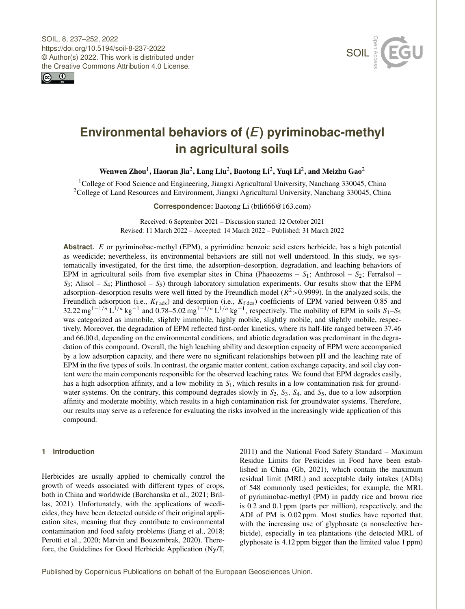



# **Environmental behaviors of (***E***) pyriminobac-methyl in agricultural soils**

Wenwen Zhou $^1$  $^1$ , Haoran Jia $^2$  $^2$ , Lang Liu $^2$ , Baotong Li $^2$ , Yuqi Li $^2$ , and Meizhu Gao $^2$ 

<sup>1</sup>College of Food Science and Engineering, Jiangxi Agricultural University, Nanchang 330045, China <sup>2</sup>College of Land Resources and Environment, Jiangxi Agricultural University, Nanchang 330045, China

**Correspondence:** Baotong Li (btli666@163.com)

Received: 6 September 2021 – Discussion started: 12 October 2021 Revised: 11 March 2022 – Accepted: 14 March 2022 – Published: 31 March 2022

**Abstract.** E or pyriminobac-methyl (EPM), a pyrimidine benzoic acid esters herbicide, has a high potential as weedicide; nevertheless, its environmental behaviors are still not well understood. In this study, we systematically investigated, for the first time, the adsorption–desorption, degradation, and leaching behaviors of EPM in agricultural soils from five exemplar sites in China (Phaeozems –  $S_1$ ; Anthrosol –  $S_2$ ; Ferralsol –  $S_3$ ; Alisol –  $S_4$ ; Plinthosol –  $S_5$ ) through laboratory simulation experiments. Our results show that the EPM adsorption–desorption results were well fitted by the Freundlich model ( $R^2$ >0.9999). In the analyzed soils, the Freundlich adsorption (i.e.,  $K_{\text{f ads}}$ ) and desorption (i.e.,  $K_{\text{f des}}$ ) coefficients of EPM varied between 0.85 and 32.22 mg<sup>1-1/n</sup> L<sup>I/n</sup> kg<sup>-1</sup> and 0.78–5.02 mg<sup>1-1/n</sup> L<sup>1/n</sup> kg<sup>-1</sup>, respectively. The mobility of EPM in soils S<sub>1</sub>-S<sub>5</sub> was categorized as immobile, slightly immobile, highly mobile, slightly mobile, and slightly mobile, respectively. Moreover, the degradation of EPM reflected first-order kinetics, where its half-life ranged between 37.46 and 66.00 d, depending on the environmental conditions, and abiotic degradation was predominant in the degradation of this compound. Overall, the high leaching ability and desorption capacity of EPM were accompanied by a low adsorption capacity, and there were no significant relationships between pH and the leaching rate of EPM in the five types of soils. In contrast, the organic matter content, cation exchange capacity, and soil clay content were the main components responsible for the observed leaching rates. We found that EPM degrades easily, has a high adsorption affinity, and a low mobility in  $S_1$ , which results in a low contamination risk for groundwater systems. On the contrary, this compound degrades slowly in  $S_2$ ,  $S_3$ ,  $S_4$ , and  $S_5$ , due to a low adsorption affinity and moderate mobility, which results in a high contamination risk for groundwater systems. Therefore, our results may serve as a reference for evaluating the risks involved in the increasingly wide application of this compound.

# <span id="page-0-0"></span>**1 Introduction**

Herbicides are usually applied to chemically control the growth of weeds associated with different types of crops, both in China and worldwide (Barchanska et al., 2021; Brillas, 2021). Unfortunately, with the applications of weedicides, they have been detected outside of their original application sites, meaning that they contribute to environmental contamination and food safety problems (Jiang et al., 2018; Perotti et al., 2020; Marvin and Bouzembrak, 2020). Therefore, the Guidelines for Good Herbicide Application (Ny/T, 2011) and the National Food Safety Standard – Maximum Residue Limits for Pesticides in Food have been established in China (Gb, 2021), which contain the maximum residual limit (MRL) and acceptable daily intakes (ADIs) of 548 commonly used pesticides; for example, the MRL of pyriminobac-methyl (PM) in paddy rice and brown rice is 0.2 and 0.1 ppm (parts per million), respectively, and the ADI of PM is 0.02 ppm. Most studies have reported that, with the increasing use of glyphosate (a nonselective herbicide), especially in tea plantations (the detected MRL of glyphosate is 4.12 ppm bigger than the limited value 1 ppm)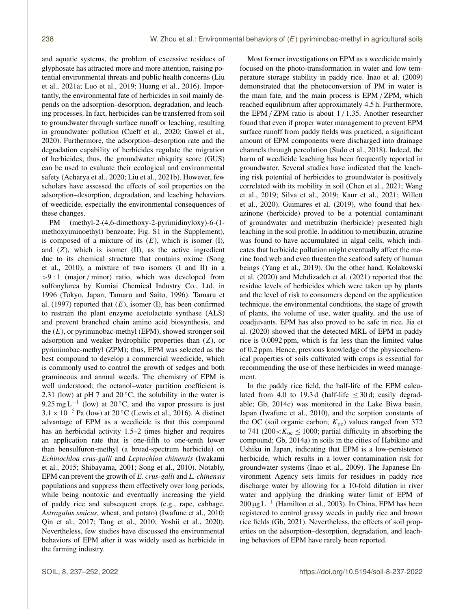and aquatic systems, the problem of excessive residues of glyphosate has attracted more and more attention, raising potential environmental threats and public health concerns (Liu et al., 2021a; Luo et al., 2019; Huang et al., 2016). Importantly, the environmental fate of herbicides in soil mainly depends on the adsorption–desorption, degradation, and leaching processes. In fact, herbicides can be transferred from soil to groundwater through surface runoff or leaching, resulting in groundwater pollution (Cueff et al., 2020; Gawel et al., 2020). Furthermore, the adsorption–desorption rate and the degradation capability of herbicides regulate the migration of herbicides; thus, the groundwater ubiquity score (GUS) can be used to evaluate their ecological and environmental safety (Acharya et al., 2020; Liu et al., 2021b). However, few scholars have assessed the effects of soil properties on the adsorption–desorption, degradation, and leaching behaviors of weedicide, especially the environmental consequences of these changes.

PM (methyl-2-(4,6-dimethoxy-2-pyrimidinyloxy)-6-(1 methoxyiminoethyl) benzoate; Fig. S1 in the Supplement), is composed of a mixture of its  $(E)$ , which is isomer  $(I)$ , and  $(Z)$ , which is isomer  $(II)$ , as the active ingredient due to its chemical structure that contains oxime (Song et al., 2010), a mixture of two isomers (I and II) in a  $>9:1$  (major / minor) ratio, which was developed from sulfonylurea by Kumiai Chemical Industry Co., Ltd. in 1996 (Tokyo, Japan; Tamaru and Saito, 1996). Tamaru et al. (1997) reported that  $(E)$ , isomer  $(I)$ , has been confirmed to restrain the plant enzyme acetolactate synthase (ALS) and prevent branched chain amino acid biosynthesis, and the  $(E)$ , or pyriminobac-methyl (EPM), showed stronger soil adsorption and weaker hydrophilic properties than (Z), or pyriminobac-methyl (ZPM); thus, EPM was selected as the best compound to develop a commercial weedicide, which is commonly used to control the growth of sedges and both gramineous and annual weeds. The chemistry of EPM is well understood; the octanol–water partition coefficient is 2.31 (low) at pH 7 and  $20^{\circ}$ C, the solubility in the water is 9.25 mg L<sup>-1</sup> (low) at 20 °C, and the vapor pressure is just  $3.1 \times 10^{-5}$  Pa (low) at 20 °C (Lewis et al., 2016). A distinct advantage of EPM as a weedicide is that this compound has an herbicidal activity 1.5–2 times higher and requires an application rate that is one-fifth to one-tenth lower than bensulfuron-methyl (a broad-spectrum herbicide) on *Echinochloa crus-galli* and *Leptochloa chinensis* (Iwakami et al., 2015; Shibayama, 2001; Song et al., 2010). Notably, EPM can prevent the growth of *E. crus-galli* and *L. chinensis* populations and suppress them effectively over long periods, while being nontoxic and eventually increasing the yield of paddy rice and subsequent crops (e.g., rape, cabbage, *Astragalus smicus*, wheat, and potato) (Iwafune et al., 2010; Qin et al., 2017; Tang et al., 2010; Yoshii et al., 2020). Nevertheless, few studies have discussed the environmental behaviors of EPM after it was widely used as herbicide in the farming industry.

Most former investigations on EPM as a weedicide mainly focused on the photo-transformation in water and low temperature storage stability in paddy rice. Inao et al. (2009) demonstrated that the photoconversion of PM in water is the main fate, and the main process is EPM / ZPM, which reached equilibrium after approximately 4.5 h. Furthermore, the EPM / ZPM ratio is about  $1/1.35$ . Another researcher found that even if proper water management to prevent EPM surface runoff from paddy fields was practiced, a significant amount of EPM components were discharged into drainage channels through percolation (Sudo et al., 2018). Indeed, the harm of weedicide leaching has been frequently reported in groundwater. Several studies have indicated that the leaching risk potential of herbicides to groundwater is positively correlated with its mobility in soil (Chen et al., 2021; Wang et al., 2019; Silva et al., 2019; Kaur et al., 2021; Willett et al., 2020). Guimares et al. (2019), who found that hexazinone (herbicide) proved to be a potential contaminant of groundwater and metribuzin (herbicide) presented high leaching in the soil profile. In addition to metribuzin, atrazine was found to have accumulated in algal cells, which indicates that herbicide pollution might eventually affect the marine food web and even threaten the seafood safety of human beings (Yang et al., 2019). On the other hand, Kolakowski et al. (2020) and Mehdizadeh et al. (2021) reported that the residue levels of herbicides which were taken up by plants and the level of risk to consumers depend on the application technique, the environmental conditions, the stage of growth of plants, the volume of use, water quality, and the use of coadjuvants. EPM has also proved to be safe in rice. Jia et al. (2020) showed that the detected MRL of EPM in paddy rice is 0.0092 ppm, which is far less than the limited value of 0.2 ppm. Hence, previous knowledge of the physicochemical properties of soils cultivated with crops is essential for recommending the use of these herbicides in weed management.

In the paddy rice field, the half-life of the EPM calculated from 4.0 to 19.3 d (half-life  $\leq 30$  d; easily degradable; Gb, 2014c) was monitored in the Lake Biwa basin, Japan (Iwafune et al., 2010), and the sorption constants of the OC (soil organic carbon;  $K_{\text{oc}}$ ) values ranged from 372 to 741 (200  $K_{\text{oc}} \le 1000$ ; partial difficulty in absorbing the compound; Gb, 2014a) in soils in the cities of Habikino and Ushiku in Japan, indicating that EPM is a low-persistence herbicide, which results in a lower contamination risk for groundwater systems (Inao et al., 2009). The Japanese Environment Agency sets limits for residues in paddy rice discharge water by allowing for a 10-fold dilution in river water and applying the drinking water limit of EPM of 200 µg L−<sup>1</sup> (Hamilton et al., 2003). In China, EPM has been registered to control grassy weeds in paddy rice and brown rice fields (Gb, 2021). Nevertheless, the effects of soil properties on the adsorption–desorption, degradation, and leaching behaviors of EPM have rarely been reported.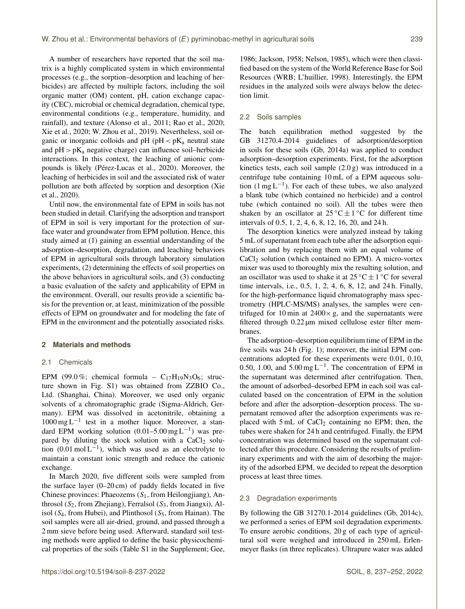A number of researchers have reported that the soil matrix is a highly complicated system in which environmental processes (e.g., the sorption–desorption and leaching of herbicides) are affected by multiple factors, including the soil organic matter (OM) content, pH, cation exchange capacity (CEC), microbial or chemical degradation, chemical type, environmental conditions (e.g., temperature, humidity, and rainfall), and texture (Alonso et al., 2011; Rao et al., 2020; Xie et al., 2020; W. Zhou et al., 2019). Nevertheless, soil organic or inorganic colloids and pH ( $pH < pK_a$  neutral state and  $pH > pK_a$  negative charge) can influence soil-herbicide interactions. In this context, the leaching of anionic compounds is likely (Pérez-Lucas et al., 2020). Moreover, the leaching of herbicides in soil and the associated risk of water pollution are both affected by sorption and desorption (Xie et al., 2020).

Until now, the environmental fate of EPM in soils has not been studied in detail. Clarifying the adsorption and transport of EPM in soil is very important for the protection of surface water and groundwater from EPM pollution. Hence, this study aimed at (1) gaining an essential understanding of the adsorption–desorption, degradation, and leaching behaviors of EPM in agricultural soils through laboratory simulation experiments, (2) determining the effects of soil properties on the above behaviors in agricultural soils, and (3) conducting a basic evaluation of the safety and applicability of EPM in the environment. Overall, our results provide a scientific basis for the prevention or, at least, minimization of the possible effects of EPM on groundwater and for modeling the fate of EPM in the environment and the potentially associated risks.

# **2 Materials and methods**

## 2.1 Chemicals

EPM (99.0%; chemical formula –  $C_{17}H_{19}N_3O_6$ ; structure shown in Fig. S1) was obtained from ZZBIO Co., Ltd. (Shanghai, China). Moreover, we used only organic solvents of a chromatographic grade (Sigma-Aldrich, Germany). EPM was dissolved in acetonitrile, obtaining a 1000 mg L−<sup>1</sup> test in a mother liquor. Moreover, a standard EPM working solution  $(0.01-5.00 \,\text{mg L}^{-1})$  was prepared by diluting the stock solution with a  $CaCl<sub>2</sub>$  solution  $(0.01 \text{ mol L}^{-1})$ , which was used as an electrolyte to maintain a constant ionic strength and reduce the cationic exchange.

In March 2020, five different soils were sampled from the surface layer (0–20 cm) of paddy fields located in five Chinese provinces: Phaeozems  $(S_1,$  from Heilongjiang), Anthrosol  $(S_2,$  from Zhejiang), Ferralsol  $(S_3,$  from Jiangxi), Alisol ( $S_4$ , from Hubei), and Plinthosol ( $S_5$ , from Hainan). The soil samples were all air-dried, ground, and passed through a 2 mm sieve before being used. Afterward, standard soil testing methods were applied to define the basic physicochemical properties of the soils (Table S1 in the Supplement; Gee,

1986; Jackson, 1958; Nelson, 1985), which were then classified based on the system of the World Reference Base for Soil Resources (WRB; L'huillier, 1998). Interestingly, the EPM residues in the analyzed soils were always below the detection limit.

#### 2.2 Soils samples

The batch equilibration method suggested by the GB 31270.4-2014 guidelines of adsorption/desorption in soils for these soils (Gb, 2014a) was applied to conduct adsorption–desorption experiments. First, for the adsorption kinetics tests, each soil sample (2.0 g) was introduced in a centrifuge tube containing 10 mL of a EPM aqueous solution  $(1 \text{ mg } L^{-1})$ . For each of these tubes, we also analyzed a blank tube (which contained no herbicide) and a control tube (which contained no soil). All the tubes were then shaken by an oscillator at  $25^{\circ}C \pm 1^{\circ}C$  for different time intervals of 0.5, 1, 2, 4, 6, 8, 12, 16, 20, and 24 h.

The desorption kinetics were analyzed instead by taking 5 mL of supernatant from each tube after the adsorption equilibration and by replacing them with an equal volume of  $CaCl<sub>2</sub>$  solution (which contained no EPM). A micro-vortex mixer was used to thoroughly mix the resulting solution, and an oscillator was used to shake it at  $25^{\circ}\text{C} \pm 1^{\circ}\text{C}$  for several time intervals, i.e., 0.5, 1, 2, 4, 6, 8, 12, and 24 h. Finally, for the high-performance liquid chromatography mass spectrometry (HPLC-MS/MS) analyses, the samples were centrifuged for 10 min at  $2400 \times g$ , and the supernatants were filtered through 0.22 µm mixed cellulose ester filter membranes.

The adsorption–desorption equilibrium time of EPM in the five soils was 24 h (Fig. 1); moreover, the initial EPM concentrations adopted for these experiments were 0.01, 0.10, 0.50, 1.00, and  $5.00 \text{ mg L}^{-1}$ . The concentration of EPM in the supernatant was determined after centrifugation. Then, the amount of adsorbed–desorbed EPM in each soil was calculated based on the concentration of EPM in the solution before and after the adsorption–desorption process. The supernatant removed after the adsorption experiments was replaced with  $5 \text{ mL of } CaCl<sub>2</sub>$  containing no EPM; then, the tubes were shaken for 24 h and centrifuged. Finally, the EPM concentration was determined based on the supernatant collected after this procedure. Considering the results of preliminary experiments and with the aim of desorbing the majority of the adsorbed EPM, we decided to repeat the desorption process at least three times.

#### 2.3 Degradation experiments

By following the GB 31270.1-2014 guidelines (Gb, 2014c), we performed a series of EPM soil degradation experiments. To ensure aerobic conditions, 20 g of each type of agricultural soil were weighed and introduced in 250 mL Erlenmeyer flasks (in three replicates). Ultrapure water was added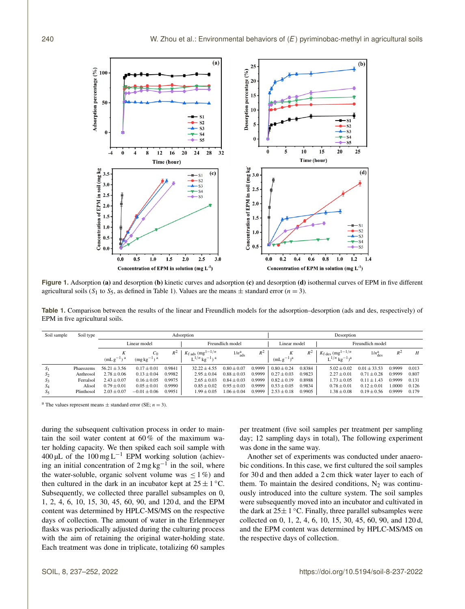

**Figure 1.** Adsorption (a) and desorption (b) kinetic curves and adsorption (c) and desorption (d) isothermal curves of EPM in five different agricultural soils (S<sub>1</sub> to S<sub>5</sub>, as defined in Table 1). Values are the means  $\pm$  standard error (n = 3).

**Table 1.** Comparison between the results of the linear and Freundlich models for the adsorption–desorption (ads and des, respectively) of EPM in five agricultural soils.

| Soil sample    | Soil type  | Adsorption          |                          |        |                                                                                       |                               |        | Desorption      |        |                                                                                        |                               |        |       |
|----------------|------------|---------------------|--------------------------|--------|---------------------------------------------------------------------------------------|-------------------------------|--------|-----------------|--------|----------------------------------------------------------------------------------------|-------------------------------|--------|-------|
|                |            | Linear model        |                          |        | Freundlich model                                                                      |                               |        | Linear model    |        | Freundlich model                                                                       |                               |        |       |
|                |            | K<br>$(mLg^{-1})^a$ | $C_0$<br>$(mgkg^{-1})^a$ | $R^2$  | $K_{\text{fads}}$ (mg <sup>1-1/n</sup> )<br>$L^{1/n}$ kg <sup>-1</sup> ) <sup>a</sup> | $1/n_{\text{ads}}^{\text{a}}$ | $R^2$  | $(mLg^{-1})^a$  | $R^2$  | $K_{\text{f des}}$ (mg <sup>1-1/n</sup> )<br>$L^{1/n}$ kg <sup>-1</sup> ) <sup>a</sup> | $1/n_{\text{des}}^{\text{a}}$ | $R^2$  | H     |
| 51             | Phaeozems  | $56.21 \pm 3.56$    | $0.17 \pm 0.01$          | 0.9841 | $32.22 + 4.55$                                                                        | $0.80 + 0.07$                 | 0.9999 | $0.80 + 0.24$   | 0.8384 | $5.02 + 0.02$                                                                          | $0.01 + 33.53$                | 0.9999 | 0.013 |
| S <sub>2</sub> | Anthrosol  | $2.78 \pm 0.06$     | $0.13 \pm 0.04$          | 0.9982 | $2.95 + 0.04$                                                                         | $0.88 + 0.03$                 | 0.9999 | $0.27 \pm 0.03$ | 0.9823 | $2.27 \pm 0.01$                                                                        | $0.71 + 0.28$                 | 0.9999 | 0.807 |
| 5 <sub>3</sub> | Ferralsol  | $2.43 \pm 0.07$     | $0.16 \pm 0.05$          | 0.9975 | $2.65 \pm 0.03$                                                                       | $0.84 \pm 0.03$               | 0.9999 | $0.82 \pm 0.19$ | 0.8988 | $1.73 \pm 0.05$                                                                        | $0.11 \pm 1.43$               | 0.9999 | 0.131 |
| $S_4$          | Alisol     | $0.79 \pm 0.01$     | $0.05 \pm 0.01$          | 0.9990 | $0.85 \pm 0.02$                                                                       | $0.95 \pm 0.03$               | 0.9999 | $0.53 \pm 0.05$ | 0.9834 | $0.78 \pm 0.01$                                                                        | $0.12 \pm 0.01$               | .0000  | 0.126 |
| $S_5$          | Plinthosol | $2.03 \pm 0.07$     | $-0.01 \pm 0.06$         | 0.9951 | $1.99 \pm 0.05$                                                                       | $1.06 \pm 0.04$               | 0.9999 | $2.53 \pm 0.18$ | 0.9905 | $1.38 \pm 0.08$                                                                        | $0.19 \pm 0.56$               | 0.9999 | 0.179 |

<sup>a</sup> The values represent means  $\pm$  standard error (SE; *n* = 3).

during the subsequent cultivation process in order to maintain the soil water content at 60 % of the maximum water holding capacity. We then spiked each soil sample with 400 µL of the 100 mg L<sup>-1</sup> EPM working solution (achieving an initial concentration of  $2 \text{ mg kg}^{-1}$  in the soil, where the water-soluble, organic solvent volume was  $\leq 1\%$  and then cultured in the dark in an incubator kept at  $25 \pm 1$  °C. Subsequently, we collected three parallel subsamples on 0, 1, 2, 4, 6, 10, 15, 30, 45, 60, 90, and 120 d, and the EPM content was determined by HPLC-MS/MS on the respective days of collection. The amount of water in the Erlenmeyer flasks was periodically adjusted during the culturing process with the aim of retaining the original water-holding state. Each treatment was done in triplicate, totalizing 60 samples per treatment (five soil samples per treatment per sampling day; 12 sampling days in total), The following experiment was done in the same way.

Another set of experiments was conducted under anaerobic conditions. In this case, we first cultured the soil samples for 30 d and then added a 2 cm thick water layer to each of them. To maintain the desired conditions,  $N_2$  was continuously introduced into the culture system. The soil samples were subsequently moved into an incubator and cultivated in the dark at  $25 \pm 1$  °C. Finally, three parallel subsamples were collected on 0, 1, 2, 4, 6, 10, 15, 30, 45, 60, 90, and 120 d, and the EPM content was determined by HPLC-MS/MS on the respective days of collection.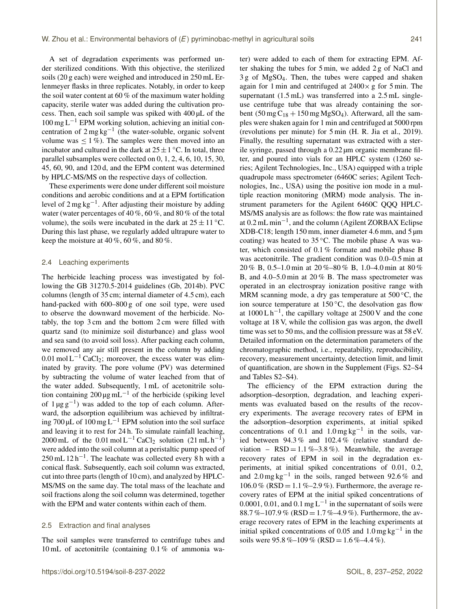A set of degradation experiments was performed under sterilized conditions. With this objective, the sterilized soils (20 g each) were weighed and introduced in 250 mL Erlenmeyer flasks in three replicates. Notably, in order to keep the soil water content at 60 % of the maximum water holding capacity, sterile water was added during the cultivation process. Then, each soil sample was spiked with 400 µL of the  $100 \text{ mg } L^{-1}$  EPM working solution, achieving an initial concentration of  $2 \text{ mg kg}^{-1}$  (the water-soluble, organic solvent volume was  $\leq 1\%$ ). The samples were then moved into an incubator and cultured in the dark at  $25 \pm 1$  °C. In total, three parallel subsamples were collected on 0, 1, 2, 4, 6, 10, 15, 30, 45, 60, 90, and 120 d, and the EPM content was determined by HPLC-MS/MS on the respective days of collection.

These experiments were done under different soil moisture conditions and aerobic conditions and at a EPM fortification level of 2 mg kg<sup>-1</sup>. After adjusting their moisture by adding water (water percentages of 40 %, 60 %, and 80 % of the total volume), the soils were incubated in the dark at  $25 \pm 11^{\circ}$ C. During this last phase, we regularly added ultrapure water to keep the moisture at  $40\%$ ,  $60\%$ , and  $80\%$ .

## 2.4 Leaching experiments

The herbicide leaching process was investigated by following the GB 31270.5-2014 guidelines (Gb, 2014b). PVC columns (length of 35 cm; internal diameter of 4.5 cm), each hand-packed with 600–800 g of one soil type, were used to observe the downward movement of the herbicide. Notably, the top 3 cm and the bottom 2 cm were filled with quartz sand (to minimize soil disturbance) and glass wool and sea sand (to avoid soil loss). After packing each column, we removed any air still present in the column by adding  $0.01 \text{ mol L}^{-1}$  CaCl<sub>2</sub>; moreover, the excess water was eliminated by gravity. The pore volume (PV) was determined by subtracting the volume of water leached from that of the water added. Subsequently, 1 mL of acetonitrile solution containing 200  $\mu$ g mL<sup>-1</sup> of the herbicide (spiking level of 1 µg g−<sup>1</sup> ) was added to the top of each column. Afterward, the adsorption equilibrium was achieved by infiltrating 700 µL of 100 mg L<sup>-1</sup> EPM solution into the soil surface and leaving it to rest for 24 h. To simulate rainfall leaching, 2000 mL of the 0.01 mol L<sup>-1</sup> CaCl<sub>2</sub> solution  $(21 \text{ mL h}^{-1})$ were added into the soil column at a peristaltic pump speed of 250 mL 12 h<sup>-1</sup>. The leachate was collected every 8 h with a conical flask. Subsequently, each soil column was extracted, cut into three parts (length of 10 cm), and analyzed by HPLC-MS/MS on the same day. The total mass of the leachate and soil fractions along the soil column was determined, together with the EPM and water contents within each of them.

## 2.5 Extraction and final analyses

The soil samples were transferred to centrifuge tubes and 10 mL of acetonitrile (containing 0.1 % of ammonia water) were added to each of them for extracting EPM. After shaking the tubes for 5 min, we added 2 g of NaCl and 3 g of MgSO4. Then, the tubes were capped and shaken again for 1 min and centrifuged at  $2400 \times g$  for 5 min. The supernatant (1.5 mL) was transferred into a 2.5 mL singleuse centrifuge tube that was already containing the sorbent (50 mg  $C_{18}$  + 150 mg MgSO<sub>4</sub>). Afterward, all the samples were shaken again for 1 min and centrifuged at 5000 rpm (revolutions per minute) for 5 min (H. R. Jia et al., 2019). Finally, the resulting supernatant was extracted with a sterile syringe, passed through a 0.22 µm organic membrane filter, and poured into vials for an HPLC system (1260 series; Agilent Technologies, Inc., USA) equipped with a triple quadrupole mass spectrometer (6460C series; Agilent Technologies, Inc., USA) using the positive ion mode in a multiple reaction monitoring (MRM) mode analysis. The instrument parameters for the Agilent 6460C QQQ HPLC-MS/MS analysis are as follows: the flow rate was maintained at 0.2 mL min−<sup>1</sup> , and the column (Agilent ZORBAX Eclipse XDB-C18; length 150 mm, inner diameter 4.6 mm, and 5 µm coating) was heated to  $35^{\circ}$ C. The mobile phase A was water, which consisted of 0.1 % formate and mobile phase B was acetonitrile. The gradient condition was 0.0–0.5 min at 20 % B, 0.5–1.0 min at 20 %–80 % B, 1.0–4.0 min at 80 % B, and 4.0–5.0 min at 20 % B. The mass spectrometer was operated in an electrospray ionization positive range with MRM scanning mode, a dry gas temperature at  $500^{\circ}$ C, the ion source temperature at  $150^{\circ}$ C, the desolvation gas flow at 1000 L h−<sup>1</sup> , the capillary voltage at 2500 V and the cone voltage at 18 V, while the collision gas was argon, the dwell time was set to 50 ms, and the collision pressure was at 58 eV. Detailed information on the determination parameters of the chromatographic method, i.e., repeatability, reproducibility, recovery, measurement uncertainty, detection limit, and limit of quantification, are shown in the Supplement (Figs. S2–S4 and Tables S2–S4).

The efficiency of the EPM extraction during the adsorption–desorption, degradation, and leaching experiments was evaluated based on the results of the recovery experiments. The average recovery rates of EPM in the adsorption–desorption experiments, at initial spiked concentrations of 0.1 and  $1.0 \text{ mg kg}^{-1}$  in the soils, varied between 94.3 % and 102.4 % (relative standard deviation –  $RSD = 1.1\% - 3.8\%$ . Meanwhile, the average recovery rates of EPM in soil in the degradation experiments, at initial spiked concentrations of 0.01, 0.2, and 2.0 mg kg−<sup>1</sup> in the soils, ranged between 92.6 % and  $106.0\%$  (RSD = 1.1%–2.9%). Furthermore, the average recovery rates of EPM at the initial spiked concentrations of 0.0001, 0.01, and 0.1 mg L<sup>-1</sup> in the supernatant of soils were 88.7 %–107.9 % (RSD = 1.7 %–4.9 %). Furthermore, the average recovery rates of EPM in the leaching experiments at initial spiked concentrations of 0.05 and  $1.0 \text{ mg kg}^{-1}$  in the soils were  $95.8\% - 109\%$  (RSD = 1.6%-4.4%).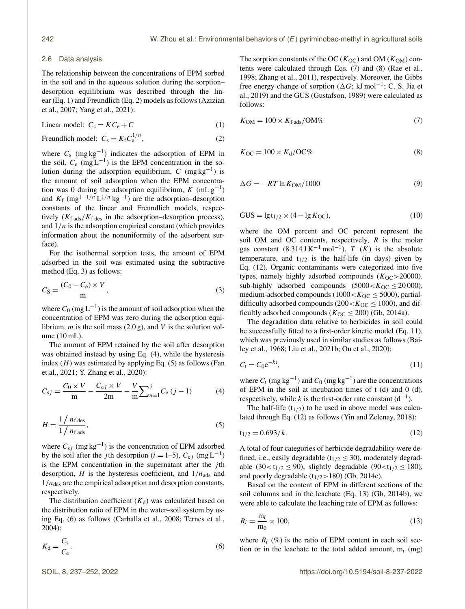#### 2.6 Data analysis

The relationship between the concentrations of EPM sorbed in the soil and in the aqueous solution during the sorption– desorption equilibrium was described through the linear (Eq. 1) and Freundlich (Eq. 2) models as follows (Azizian et al., 2007; Yang et al., 2021):

$$
Linear model: Cs = KCe + C
$$
 (1)

Freundlich model:  $C_s = K_f C_e^{1/n}$  $e^{i\frac{1}{n}},$  (2)

where  $C_s$  (mg kg<sup>-1</sup>) indicates the adsorption of EPM in the soil,  $C_e$  (mg L<sup>-1</sup>) is the EPM concentration in the solution during the adsorption equilibrium,  $C \left( \text{mg kg}^{-1} \right)$  is the amount of soil adsorption when the EPM concentration was 0 during the adsorption equilibrium,  $K$  (mL  $g^{-1}$ ) and  $K_f$  (mg<sup>1-1/n</sup> L<sup>1/n</sup> kg<sup>-1</sup>) are the adsorption–desorption constants of the linear and Freundlich models, respectively  $(K_f$ <sub>ads</sub>/ $K_f$ <sub>des</sub> in the adsorption–desorption process), and  $1/n$  is the adsorption empirical constant (which provides information about the nonuniformity of the adsorbent surface).

For the isothermal sorption tests, the amount of EPM adsorbed in the soil was estimated using the subtractive method (Eq. 3) as follows:

$$
C_{\rm S} = \frac{(C_0 - C_{\rm e}) \times V}{m},\tag{3}
$$

where  $C_0$  (mg L<sup>-1</sup>) is the amount of soil adsorption when the concentration of EPM was zero during the adsorption equilibrium, *m* is the soil mass  $(2.0 g)$ , and *V* is the solution volume (10 mL).

The amount of EPM retained by the soil after desorption was obtained instead by using Eq. (4), while the hysteresis index  $(H)$  was estimated by applying Eq. (5) as follows (Fan et al., 2021; Y. Zhang et al., 2020):

$$
C_{sj} = \frac{C_0 \times V}{m} - \frac{C_{ej} \times V}{2m} - \frac{V}{m} \sum_{n=1}^{j} C_e (j-1)
$$
 (4)

$$
H = \frac{1/n_{\text{f des}}}{1/n_{\text{f ads}}},\tag{5}
$$

where  $C_{sj}$  (mg kg<sup>-1</sup>) is the concentration of EPM adsorbed by the soil after the *j*th desorption (*i* = 1–5),  $C_{ej}$  (mg L<sup>-1</sup>) is the EPM concentration in the supernatant after the  $j$ th desorption, H is the hysteresis coefficient, and  $1/n_{ads}$  and  $1/n_{\text{des}}$  are the empirical adsorption and desorption constants, respectively.

The distribution coefficient  $(K_d)$  was calculated based on the distribution ratio of EPM in the water–soil system by using Eq. (6) as follows (Carballa et al., 2008; Ternes et al., 2004):

$$
K_{\rm d} = \frac{C_{\rm s}}{C_{\rm e}}.\tag{6}
$$

The sorption constants of the OC ( $K_{\text{OC}}$ ) and OM ( $K_{\text{OM}}$ ) contents were calculated through Eqs. (7) and (8) (Rae et al., 1998; Zhang et al., 2011), respectively. Moreover, the Gibbs free energy change of sorption ( $\Delta G$ ; kJ mol<sup>-1</sup>; C. S. Jia et al., 2019) and the GUS (Gustafson, 1989) were calculated as follows:

$$
K_{\rm OM} = 100 \times K_{\rm fads} / \text{OM\%}
$$
 (7)

$$
K_{\rm OC} = 100 \times K_{\rm d}/\text{OC\%}
$$
 (8)

$$
\Delta G = -RT \ln K_{\text{OM}} / 1000\tag{9}
$$

$$
GUS = \lg t_{1/2} \times (4 - \lg K_{OC}),\tag{10}
$$

where the OM percent and OC percent represent the soil OM and OC contents, respectively,  $R$  is the molar gas constant  $(8.314 \text{ J K}^{-1} \text{ mol}^{-1})$ , T  $(K)$  is the absolute temperature, and  $t_{1/2}$  is the half-life (in days) given by Eq. (12). Organic contaminants were categorized into five types, namely highly adsorbed compounds  $(K_{OC} > 20000)$ , sub-highly adsorbed compounds  $(5000 < K<sub>OC</sub> \le 20000)$ , medium-adsorbed compounds (1000 <  $K_{OC} \leq 5000$ ), partialdifficulty adsorbed compounds (200 <  $K_{OC} \leq 1000$ ), and difficultly adsorbed compounds ( $K_{OC} \le 200$ ) (Gb, 2014a).

The degradation data relative to herbicides in soil could be successfully fitted to a first-order kinetic model (Eq. 11), which was previously used in similar studies as follows (Bailey et al., 1968; Liu et al., 2021b; Ou et al., 2020):

$$
C_{t} = C_{0}e^{-kt},\tag{11}
$$

where  $C_t$  (mg kg<sup>-1</sup>) and  $C_0$  (mg kg<sup>-1</sup>) are the concentrations of EPM in the soil at incubation times of  $t$  (d) and  $0$  (d), respectively, while k is the first-order rate constant  $(d^{-1})$ .

The half-life  $(t_{1/2})$  to be used in above model was calculated through Eq. (12) as follows (Yin and Zelenay, 2018):

$$
t_{1/2} = 0.693/k.
$$
 (12)

A total of four categories of herbicide degradability were defined, i.e., easily degradable ( $t_{1/2} \leq 30$ ), moderately degradable (30< $t_{1/2} \le 90$ ), slightly degradable (90< $t_{1/2} \le 180$ ), and poorly degradable  $(t_{1/2} > 180)$  (Gb, 2014c).

Based on the content of EPM in different sections of the soil columns and in the leachate (Eq. 13) (Gb, 2014b), we were able to calculate the leaching rate of EPM as follows:

$$
R_i = \frac{\mathbf{m}_i}{\mathbf{m}_0} \times 100,\tag{13}
$$

where  $R_i$  (%) is the ratio of EPM content in each soil section or in the leachate to the total added amount,  $m_i$  (mg)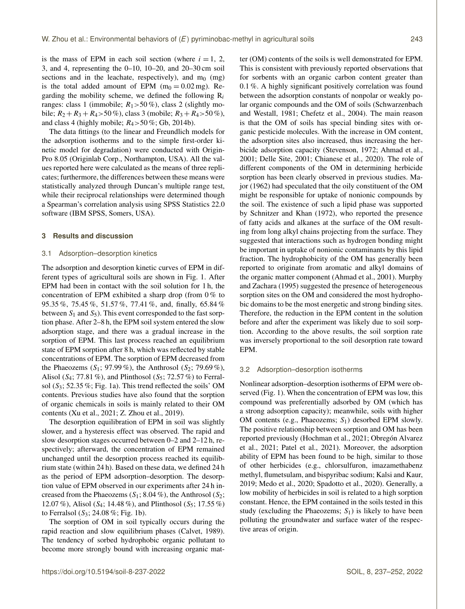is the mass of EPM in each soil section (where  $i = 1, 2,$ 3, and 4, representing the 0–10, 10–20, and 20–30 cm soil sections and in the leachate, respectively), and  $m_0$  (mg) is the total added amount of EPM  $(m_0 = 0.02 \text{ mg})$ . Regarding the mobility scheme, we defined the following  $R_i$ ranges: class 1 (immobile;  $R_1 > 50\%$ ), class 2 (slightly mobile;  $R_2 + R_3 + R_4 > 50\%$ , class 3 (mobile;  $R_3 + R_4 > 50\%$ ), and class 4 (highly mobile;  $R_4 > 50\%$ ; Gb, 2014b).

The data fittings (to the linear and Freundlich models for the adsorption isotherms and to the simple first-order kinetic model for degradation) were conducted with Origin-Pro 8.05 (Originlab Corp., Northampton, USA). All the values reported here were calculated as the means of three replicates; furthermore, the differences between these means were statistically analyzed through Duncan's multiple range test, while their reciprocal relationships were determined though a Spearman's correlation analysis using SPSS Statistics 22.0 software (IBM SPSS, Somers, USA).

## **3 Results and discussion**

## 3.1 Adsorption–desorption kinetics

The adsorption and desorption kinetic curves of EPM in different types of agricultural soils are shown in Fig. 1. After EPM had been in contact with the soil solution for 1 h, the concentration of EPM exhibited a sharp drop (from 0 % to 95.35 %, 75.45 %, 51.57 %, 77.41 %, and, finally, 65.84 % between  $S_1$  and  $S_5$ ). This event corresponded to the fast sorption phase. After 2–8 h, the EPM soil system entered the slow adsorption stage, and there was a gradual increase in the sorption of EPM. This last process reached an equilibrium state of EPM sorption after 8 h, which was reflected by stable concentrations of EPM. The sorption of EPM decreased from the Phaeozems  $(S_1; 97.99\%)$ , the Anthrosol  $(S_2; 79.69\%)$ , Alisol ( $S_4$ ; 77.81 %), and Plinthosol ( $S_5$ ; 72.57 %) to Ferralsol ( $S_3$ ; 52.35%; Fig. 1a). This trend reflected the soils' OM contents. Previous studies have also found that the sorption of organic chemicals in soils is mainly related to their OM contents (Xu et al., 2021; Z. Zhou et al., 2019).

The desorption equilibration of EPM in soil was slightly slower, and a hysteresis effect was observed. The rapid and slow desorption stages occurred between 0–2 and 2–12 h, respectively; afterward, the concentration of EPM remained unchanged until the desorption process reached its equilibrium state (within 24 h). Based on these data, we defined 24 h as the period of EPM adsorption–desorption. The desorption value of EPM observed in our experiments after 24 h increased from the Phaeozems  $(S_1; 8.04\%)$ , the Anthrosol  $(S_2;$ 12.07 %), Alisol ( $S_4$ ; 14.48 %), and Plinthosol ( $S_5$ ; 17.55 %) to Ferralsol  $(S_3; 24.08\%; Fig. 1b)$ .

The sorption of OM in soil typically occurs during the rapid reaction and slow equilibrium phases (Calvet, 1989). The tendency of sorbed hydrophobic organic pollutant to become more strongly bound with increasing organic matter (OM) contents of the soils is well demonstrated for EPM. This is consistent with previously reported observations that for sorbents with an organic carbon content greater than 0.1 %. A highly significant positively correlation was found between the adsorption constants of nonpolar or weakly polar organic compounds and the OM of soils (Schwarzenbach and Westall, 1981; Chefetz et al., 2004). The main reason is that the OM of soils has special binding sites with organic pesticide molecules. With the increase in OM content, the adsorption sites also increased, thus increasing the herbicide adsorption capacity (Stevenson, 1972; Ahmad et al., 2001; Delle Site, 2001; Chianese et al., 2020). The role of different components of the OM in determining herbicide sorption has been clearly observed in previous studies. Major (1962) had speculated that the oily constituent of the OM might be responsible for uptake of nonionic compounds by the soil. The existence of such a lipid phase was supported by Schnitzer and Khan (1972), who reported the presence of fatty acids and alkanes at the surface of the OM resulting from long alkyl chains projecting from the surface. They suggested that interactions such as hydrogen bonding might be important in uptake of nonionic contaminants by this lipid fraction. The hydrophobicity of the OM has generally been reported to originate from aromatic and alkyl domains of the organic matter component (Ahmad et al., 2001). Murphy and Zachara (1995) suggested the presence of heterogeneous sorption sites on the OM and considered the most hydrophobic domains to be the most energetic and strong binding sites. Therefore, the reduction in the EPM content in the solution before and after the experiment was likely due to soil sorption. According to the above results, the soil sorption rate was inversely proportional to the soil desorption rate toward EPM.

#### 3.2 Adsorption–desorption isotherms

Nonlinear adsorption–desorption isotherms of EPM were observed (Fig. 1). When the concentration of EPM was low, this compound was preferentially adsorbed by OM (which has a strong adsorption capacity); meanwhile, soils with higher OM contents (e.g., Phaeozems;  $S_1$ ) desorbed EPM slowly. The positive relationship between sorption and OM has been reported previously (Hochman et al., 2021; Obregón Alvarez et al., 2021; Patel et al., 2021). Moreover, the adsorption ability of EPM has been found to be high, similar to those of other herbicides (e.g., chlorsulfuron, imazamethabenz methyl, flumetsulam, and bispyribac sodium; Kalsi and Kaur, 2019; Medo et al., 2020; Spadotto et al., 2020). Generally, a low mobility of herbicides in soil is related to a high sorption constant. Hence, the EPM contained in the soils tested in this study (excluding the Phaeozems;  $S_1$ ) is likely to have been polluting the groundwater and surface water of the respective areas of origin.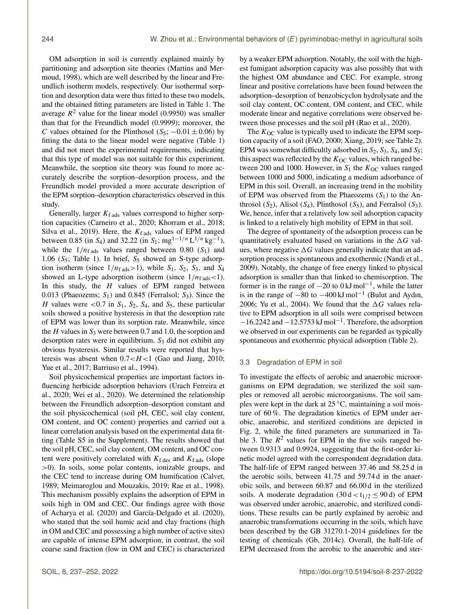OM adsorption in soil is currently explained mainly by partitioning and adsorption site theories (Martins and Mermoud, 1998), which are well described by the linear and Freundlich isotherm models, respectively. Our isothermal sorption and desorption data were thus fitted to these two models, and the obtained fitting parameters are listed in Table 1. The average  $R^2$  value for the linear model (0.9950) was smaller than that for the Freundlich model (0.9999); moreover, the C values obtained for the Plinthosol (S<sub>5</sub>;  $-0.01 \pm 0.06$ ) by fitting the data to the linear model were negative (Table 1) and did not meet the experimental requirements, indicating that this type of model was not suitable for this experiment. Meanwhile, the sorption site theory was found to more accurately describe the sorption–desorption process, and the Freundlich model provided a more accurate description of the EPM sorption–desorption characteristics observed in this study.

Generally, larger  $K<sub>f</sub>$ <sub>ads</sub> values correspond to higher sorption capacities (Carneiro et al., 2020; Khorram et al., 2018; Silva et al., 2019). Here, the  $K_f$ <sub>ads</sub> values of EPM ranged between 0.85 (in S<sub>4</sub>) and 32.22 (in S<sub>1</sub>; mg<sup>1-1/n</sup> L<sup>1/n</sup> kg<sup>-1</sup>), while the  $1/n_{\text{fads}}$  values ranged between 0.80 (S<sub>1</sub>) and 1.06 ( $S_5$ ; Table 1). In brief,  $S_5$  showed an S-type adsorption isotherm (since  $1/n_{\text{fads}} > 1$ ), while  $S_1$ ,  $S_2$ ,  $S_3$ , and  $S_4$ showed an L-type adsorption isotherm (since  $1/n_{\text{fads}} < 1$ ). In this study, the  $H$  values of EPM ranged between 0.013 (Phaeozems;  $S_1$ ) and 0.845 (Ferralsol;  $S_3$ ). Since the H values were  $\langle 0.7 \text{ in } S_1, S_2, S_4, \text{ and } S_5, \text{ these particular}$ soils showed a positive hysteresis in that the desorption rate of EPM was lower than its sorption rate. Meanwhile, since the H values in  $S_3$  were between 0.7 and 1.0, the sorption and desorption rates were in equilibrium.  $S_3$  did not exhibit any obvious hysteresis. Similar results were reported that hysteresis was absent when  $0.7 < H < 1$  (Gao and Jiang, 2010; Yue et al., 2017; Barriuso et al., 1994).

Soil physicochemical properties are important factors influencing herbicide adsorption behaviors (Urach Ferreira et al., 2020; Wei et al., 2020). We determined the relationship between the Freundlich adsorption–desorption constant and the soil physicochemical (soil pH, CEC, soil clay content, OM content, and OC content) properties and carried out a linear correlation analysis based on the experimental data fitting (Table S5 in the Supplement). The results showed that the soil pH, CEC, soil clay content, OM content, and OC content were positively correlated with  $K_f$  des and  $K_f$  ads (slope >0). In soils, some polar contents, ionizable groups, and the CEC tend to increase during OM humification (Calvet, 1989; Meimaroglou and Mouzakis, 2019; Rae et al., 1998). This mechanism possibly explains the adsorption of EPM in soils high in OM and CEC. Our findings agree with those of Acharya et al. (2020) and García-Delgado et al. (2020), who stated that the soil humic acid and clay fractions (high in OM and CEC and possessing a high number of active sites) are capable of intense EPM adsorption; in contrast, the soil coarse sand fraction (low in OM and CEC) is characterized by a weaker EPM adsorption. Notably, the soil with the highest fumigant adsorption capacity was also possibly that with the highest OM abundance and CEC. For example, strong linear and positive correlations have been found between the adsorption–desorption of benzobicyclon hydrolysate and the soil clay content, OC content, OM content, and CEC, while moderate linear and negative correlations were observed between those processes and the soil pH (Rao et al., 2020).

The  $K_{\text{OC}}$  value is typically used to indicate the EPM sorption capacity of a soil (FAO, 2000; Xiang, 2019; see Table 2). EPM was somewhat difficultly adsorbed in  $S_2$ ,  $S_3$ ,  $S_4$ , and  $S_5$ ; this aspect was reflected by the  $K_{\text{OC}}$  values, which ranged between 200 and 1000. However, in  $S_1$  the  $K_{OC}$  values ranged between 1000 and 5000, indicating a medium adsorbance of EPM in this soil. Overall, an increasing trend in the mobility of EPM was observed from the Phaeozems  $(S_1)$  to the Anthrosol  $(S_2)$ , Alisol  $(S_4)$ , Plinthosol  $(S_5)$ , and Ferralsol  $(S_3)$ . We, hence, infer that a relatively low soil adsorption capacity is linked to a relatively high mobility of EPM in that soil.

The degree of spontaneity of the adsorption process can be quantitatively evaluated based on variations in the  $\Delta G$  values, where negative  $\Delta G$  values generally indicate that an adsorption process is spontaneous and exothermic (Nandi et al., 2009). Notably, the change of free energy linked to physical adsorption is smaller than that linked to chemisorption. The former is in the range of  $-20$  to  $0 \text{ kJ}$  mol<sup>-1</sup>, while the latter is in the range of  $-80$  to  $-400 \text{ kJ}$  mol<sup>-1</sup> (Bulut and Aydın, 2006; Yu et al., 2004). We found that the  $\Delta G$  values relative to EPM adsorption in all soils were comprised between −16.2242 and −12.5753 kJ mol−<sup>1</sup> . Therefore, the adsorption we observed in our experiments can be regarded as typically spontaneous and exothermic physical adsorption (Table 2).

## 3.3 Degradation of EPM in soil

To investigate the effects of aerobic and anaerobic microorganisms on EPM degradation, we sterilized the soil samples or removed all aerobic microorganisms. The soil samples were kept in the dark at  $25^{\circ}$ C, maintaining a soil moisture of 60 %. The degradation kinetics of EPM under aerobic, anaerobic, and sterilized conditions are depicted in Fig. 2, while the fitted parameters are summarized in Table 3. The  $R^2$  values for EPM in the five soils ranged between 0.9313 and 0.9924, suggesting that the first-order kinetic model agreed with the correspondent degradation data. The half-life of EPM ranged between 37.46 and 58.25 d in the aerobic soils, between 41.75 and 59.74 d in the anaerobic soils, and between 60.87 and 66.00 d in the sterilized soils. A moderate degradation  $(30 d < t_{1/2} \le 90 d)$  of EPM was observed under aerobic, anaerobic, and sterilized conditions. These results can be partly explained by aerobic and anaerobic transformations occurring in the soils, which have been described by the GB 31270.1-2014 guidelines for the testing of chemicals (Gb, 2014c). Overall, the half-life of EPM decreased from the aerobic to the anaerobic and ster-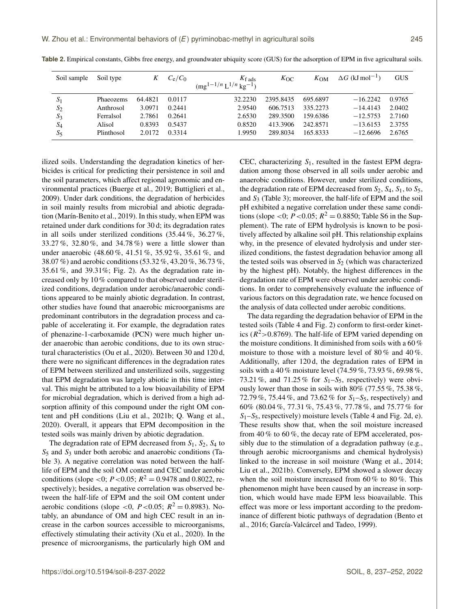| Soil sample | Soil type  | K       | $C_e/C_0$ | $K_{\text{fads}}$            | $K_{\rm OC}$ | $K_{OM}$ | $\Delta G$ (kJ mol <sup>-1</sup> ) | <b>GUS</b> |
|-------------|------------|---------|-----------|------------------------------|--------------|----------|------------------------------------|------------|
|             |            |         |           | $(mg^{1-1/n}L^{1/n}kg^{-1})$ |              |          |                                    |            |
| $S_1$       | Phaeozems  | 64.4821 | 0.0117    | 32.2230                      | 2395.8435    | 695.6897 | $-16.2242$                         | 0.9765     |
| $S_2$       | Anthrosol  | 3.0971  | 0.2441    | 2.9540                       | 606.7513     | 335.2273 | $-14.4143$                         | 2.0402     |
| $S_3$       | Ferralsol  | 2.7861  | 0.2641    | 2.6530                       | 289.3500     | 159.6386 | $-12.5753$                         | 2.7160     |
| $S_4$       | Alisol     | 0.8393  | 0.5437    | 0.8520                       | 413.3906     | 242.8571 | $-13.6153$                         | 2.3755     |
| $S_5$       | Plinthosol | 2.0172  | 0.3314    | 1.9950                       | 289.8034     | 165.8333 | $-12.6696$                         | 2.6765     |

**Table 2.** Empirical constants, Gibbs free energy, and groundwater ubiquity score (GUS) for the adsorption of EPM in five agricultural soils.

ilized soils. Understanding the degradation kinetics of herbicides is critical for predicting their persistence in soil and the soil parameters, which affect regional agronomic and environmental practices (Buerge et al., 2019; Buttiglieri et al., 2009). Under dark conditions, the degradation of herbicides in soil mainly results from microbial and abiotic degradation (Marín-Benito et al., 2019). In this study, when EPM was retained under dark conditions for 30 d; its degradation rates in all soils under sterilized conditions (35.44 %, 36.27 %, 33.27 %, 32.80 %, and 34.78 %) were a little slower than under anaerobic (48.60 %, 41.51 %, 35.92 %, 35.61 %, and 38.07 %) and aerobic conditions (53.32 %, 43.20 %, 36.73 %, 35.61 %, and 39.31%; Fig. 2). As the degradation rate increased only by 10 % compared to that observed under sterilized conditions, degradation under aerobic/anaerobic conditions appeared to be mainly abiotic degradation. In contrast, other studies have found that anaerobic microorganisms are predominant contributors in the degradation process and capable of accelerating it. For example, the degradation rates of phenazine-1-carboxamide (PCN) were much higher under anaerobic than aerobic conditions, due to its own structural characteristics (Ou et al., 2020). Between 30 and 120 d, there were no significant differences in the degradation rates of EPM between sterilized and unsterilized soils, suggesting that EPM degradation was largely abiotic in this time interval. This might be attributed to a low bioavailability of EPM for microbial degradation, which is derived from a high adsorption affinity of this compound under the right OM content and pH conditions (Liu et al., 2021b; Q. Wang et al., 2020). Overall, it appears that EPM decomposition in the tested soils was mainly driven by abiotic degradation.

The degradation rate of EPM decreased from  $S_1$ ,  $S_2$ ,  $S_4$  to  $S_5$  and  $S_3$  under both aerobic and anaerobic conditions (Table 3). A negative correlation was noted between the halflife of EPM and the soil OM content and CEC under aerobic conditions (slope <0;  $P$  <0.05;  $R^2 = 0.9478$  and 0.8022, respectively); besides, a negative correlation was observed between the half-life of EPM and the soil OM content under aerobic conditions (slope <0, *P* <0.05;  $R^2 = 0.8983$ ). Notably, an abundance of OM and high CEC result in an increase in the carbon sources accessible to microorganisms, effectively stimulating their activity (Xu et al., 2020). In the presence of microorganisms, the particularly high OM and CEC, characterizing  $S_1$ , resulted in the fastest EPM degradation among those observed in all soils under aerobic and anaerobic conditions. However, under sterilized conditions, the degradation rate of EPM decreased from  $S_2$ ,  $S_4$ ,  $S_1$ , to  $S_5$ , and  $S_3$  (Table 3); moreover, the half-life of EPM and the soil pH exhibited a negative correlation under these same conditions (slope <0;  $P$  <0.05;  $R^2 = 0.8850$ ; Table S6 in the Supplement). The rate of EPM hydrolysis is known to be positively affected by alkaline soil pH. This relationship explains why, in the presence of elevated hydrolysis and under sterilized conditions, the fastest degradation behavior among all the tested soils was observed in  $S_2$  (which was characterized by the highest pH). Notably, the highest differences in the degradation rate of EPM were observed under aerobic conditions. In order to comprehensively evaluate the influence of various factors on this degradation rate, we hence focused on the analysis of data collected under aerobic conditions.

The data regarding the degradation behavior of EPM in the tested soils (Table 4 and Fig. 2) conform to first-order kinetics ( $R^2$  > 0.8769). The half-life of EPM varied depending on the moisture conditions. It diminished from soils with a 60 % moisture to those with a moisture level of 80 % and 40 %. Additionally, after 120 d, the degradation rates of EPM in soils with a 40 % moisture level (74.59 %, 73.93 %, 69.98 %, 73.21 %, and 71.25 % for  $S_1-S_5$ , respectively) were obviously lower than those in soils with  $80\%$  (77.55 %, 75.38 %, 72.79 %, 75.44 %, and 73.62 % for  $S_1-S_5$ , respectively) and 60% (80.04 %, 77.31 %, 75.43 %, 77.78 %, and 75.77 % for  $S_1-S_5$ , respectively) moisture levels (Table 4 and Fig. 2d, e). These results show that, when the soil moisture increased from 40 % to 60 %, the decay rate of EPM accelerated, possibly due to the stimulation of a degradation pathway (e.g., through aerobic microorganisms and chemical hydrolysis) linked to the increase in soil moisture (Wang et al., 2014; Liu et al., 2021b). Conversely, EPM showed a slower decay when the soil moisture increased from  $60\%$  to  $80\%$ . This phenomenon might have been caused by an increase in sorption, which would have made EPM less bioavailable. This effect was more or less important according to the predominance of different biotic pathways of degradation (Bento et al., 2016; García-Valcárcel and Tadeo, 1999).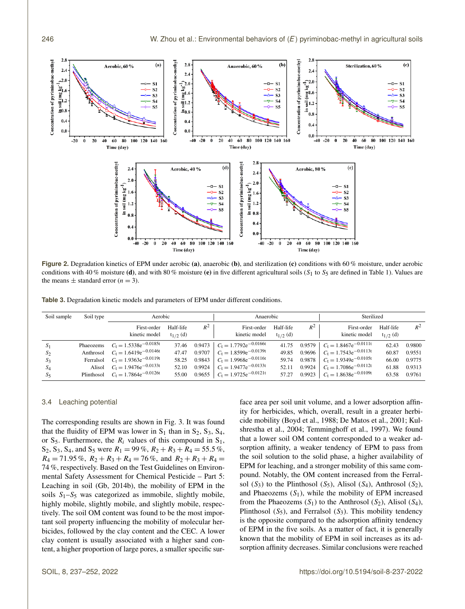

**Figure 2.** Degradation kinetics of EPM under aerobic (a), anaerobic (b), and sterilization (c) conditions with 60 % moisture, under aerobic conditions with 40 % moisture (d), and with 80 % moisture (e) in five different agricultural soils (S<sub>1</sub> to S<sub>5</sub> are defined in Table 1). Values are the means  $\pm$  standard error ( $n = 3$ ).

**Table 3.** Degradation kinetic models and parameters of EPM under different conditions.

| Soil sample | Soil type | Aerobic                               |                            |       | Anaerobic                               |                            | Sterilized |                                         |                            |        |
|-------------|-----------|---------------------------------------|----------------------------|-------|-----------------------------------------|----------------------------|------------|-----------------------------------------|----------------------------|--------|
|             |           | First-order<br>kinetic model          | Half-life<br>$t_{1/2}$ (d) | $R^2$ | First-order<br>kinetic model            | Half-life<br>$t_{1/2}$ (d) | $R^2$      | First-order<br>kinetic model            | Half-life<br>$t_{1/2}$ (d) | $R^2$  |
| $S_1$       |           | Phaeozems $C_t = 1.5338e^{-0.0185t}$  |                            |       | 37.46 0.9473 $C_t = 1.7792e^{-0.0166t}$ | 41.75                      |            | 0.9579 $C_t = 1.8467e^{-0.0111t}$       | 62.43                      | 0.9800 |
| $S_2$       |           | Anthrosol $C_t = 1.6419e^{-0.0146t}$  |                            |       | 47.47 0.9707 $C_t = 1.8599e^{-0.0139t}$ |                            |            | 49.85 0.9696 $C_1 = 1.7543e^{-0.0113t}$ | 60.87                      | 0.9551 |
| $S_3$       |           | Ferralsol $C_t = 1.9363e^{-0.0119t}$  |                            |       | 58.25 0.9843 $C_t = 1.9968e^{-0.0116t}$ | 59.74                      | 0.9878     | $C_t = 1.9349e^{-0.0105t}$              | 66.00                      | 0.9775 |
| $S_4$       |           | Alisol $C_t = 1.9476e^{-0.0133t}$     | 52.10                      |       | 0.9924 $C_t = 1.9477e^{-0.0133t}$       | 52.11                      |            | 0.9924 $C_t = 1.7086e^{-0.0112t}$       | 61.88                      | 0.9313 |
| $S_5$       |           | Plinthosol $C_t = 1.7864e^{-0.0126t}$ | 55.00                      |       | 0.9655 $C_t = 1.9725e^{-0.0121t}$       | 57.27                      |            | 0.9923 $C_t = 1.8638e^{-0.0109t}$       | 63.58                      | 0.9761 |

## 3.4 Leaching potential

The corresponding results are shown in Fig. 3. It was found that the fluidity of EPM was lower in  $S_1$  than in  $S_2$ ,  $S_3$ ,  $S_4$ , or  $S_5$ . Furthermore, the  $R_i$  values of this compound in  $S_1$ ,  $S_2$ ,  $S_3$ ,  $S_4$ , and  $S_5$  were  $R_1 = 99\%$ ,  $R_2 + R_3 + R_4 = 55.5\%$ ,  $R_4 = 71.95\%$ ,  $R_2 + R_3 + R_4 = 76\%$ , and  $R_2 + R_3 + R_4 =$ 74 %, respectively. Based on the Test Guidelines on Environmental Safety Assessment for Chemical Pesticide – Part 5: Leaching in soil (Gb, 2014b), the mobility of EPM in the soils  $S_1-S_5$  was categorized as immobile, slightly mobile, highly mobile, slightly mobile, and slightly mobile, respectively. The soil OM content was found to be the most important soil property influencing the mobility of molecular herbicides, followed by the clay content and the CEC. A lower clay content is usually associated with a higher sand content, a higher proportion of large pores, a smaller specific surface area per soil unit volume, and a lower adsorption affinity for herbicides, which, overall, result in a greater herbicide mobility (Boyd et al., 1988; De Matos et al., 2001; Kulshrestha et al., 2004; Temminghoff et al., 1997). We found that a lower soil OM content corresponded to a weaker adsorption affinity, a weaker tendency of EPM to pass from the soil solution to the solid phase, a higher availability of EPM for leaching, and a stronger mobility of this same compound. Notably, the OM content increased from the Ferralsol  $(S_3)$  to the Plinthosol  $(S_5)$ , Alisol  $(S_4)$ , Anthrosol  $(S_2)$ , and Phaeozems  $(S_1)$ , while the mobility of EPM increased from the Phaeozems  $(S_1)$  to the Anthrosol  $(S_2)$ , Alisol  $(S_4)$ , Plinthosol  $(S_5)$ , and Ferralsol  $(S_3)$ . This mobility tendency is the opposite compared to the adsorption affinity tendency of EPM in the five soils. As a matter of fact, it is generally known that the mobility of EPM in soil increases as its adsorption affinity decreases. Similar conclusions were reached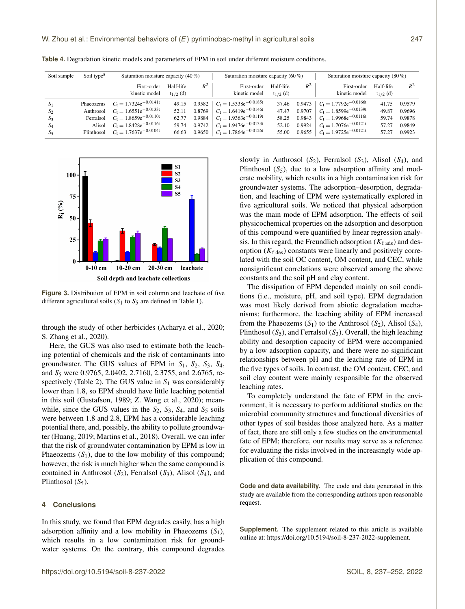| Soil sample | Soil type <sup>a</sup> | Saturation moisture capacity $(40\%)$ |                            |        | Saturation moisture capacity $(60\%)$ |                            |        | Saturation moisture capacity $(80\%)$ |                            |        |
|-------------|------------------------|---------------------------------------|----------------------------|--------|---------------------------------------|----------------------------|--------|---------------------------------------|----------------------------|--------|
|             |                        | First-order<br>kinetic model          | Half-life<br>$t_{1/2}$ (d) | $R^2$  | First-order<br>kinetic model          | Half-life<br>$t_{1/2}$ (d) | $R^2$  | First-order<br>kinetic model          | Half-life<br>$t_{1/2}$ (d) | $R^2$  |
| $S_1$       |                        | Phaeozems $C_t = 1.7324e^{-0.0141t}$  | 49.15                      | 0.9582 | $C_t = 1.5338e^{-0.0185t}$            | 37.46                      | 0.9473 | $C_t = 1.7792e^{-0.0166t}$            | 41.75                      | 0.9579 |
| $S_2$       |                        | Anthrosol $C_t = 1.6551e^{-0.0133t}$  | 52.11                      |        | 0.8769 $C_t = 1.6419e^{-0.0146t}$     | 47.47                      | 0.9707 | $C_1 = 1.8599e^{-0.0139t}$            | 49.87                      | 0.9696 |
| $S_3$       |                        | Ferralsol $C_t = 1.8659e^{-0.0110t}$  | 62.77                      | 0.9884 | $C_t = 1.9363e^{-0.0119t}$            | 58.25                      | 0.9843 | $C_1 = 1.9968e^{-0.0116t}$            | 59.74                      | 0.9878 |
| $S_4$       |                        | Alisol $C_t = 1.8428e^{-0.0116t}$     | 59.74                      |        | 0.9742 $C_t = 1.9476e^{-0.0133t}$     | 52.10                      | 0.9924 | $C_t = 1.7076e^{-0.0121t}$            | 57.27                      | 0.9849 |
| $S_5$       |                        | Plinthosol $C_t = 1.7637e^{-0.0104t}$ | 66.63                      |        | 0.9650 $C_t = 1.7864e^{-0.0126t}$     | 55.00                      |        | 0.9655 $C_t = 1.9725e^{-0.0121t}$     | 57.27                      | 0.9923 |

**Table 4.** Degradation kinetic models and parameters of EPM in soil under different moisture conditions.



**Figure 3.** Distribution of EPM in soil column and leachate of five different agricultural soils  $(S_1$  to  $S_5$  are defined in Table 1).

through the study of other herbicides (Acharya et al., 2020; S. Zhang et al., 2020).

Here, the GUS was also used to estimate both the leaching potential of chemicals and the risk of contaminants into groundwater. The GUS values of EPM in  $S_1$ ,  $S_2$ ,  $S_3$ ,  $S_4$ , and S<sup>5</sup> were 0.9765, 2.0402, 2.7160, 2.3755, and 2.6765, respectively (Table 2). The GUS value in  $S_1$  was considerably lower than 1.8, so EPM should have little leaching potential in this soil (Gustafson, 1989; Z. Wang et al., 2020); meanwhile, since the GUS values in the  $S_2$ ,  $S_3$ ,  $S_4$ , and  $S_5$  soils were between 1.8 and 2.8, EPM has a considerable leaching potential there, and, possibly, the ability to pollute groundwater (Huang, 2019; Martins et al., 2018). Overall, we can infer that the risk of groundwater contamination by EPM is low in Phaeozems  $(S_1)$ , due to the low mobility of this compound; however, the risk is much higher when the same compound is contained in Anthrosol  $(S_2)$ , Ferralsol  $(S_3)$ , Alisol  $(S_4)$ , and Plinthosol  $(S_5)$ .

## **4 Conclusions**

In this study, we found that EPM degrades easily, has a high adsorption affinity and a low mobility in Phaeozems  $(S_1)$ , which results in a low contamination risk for groundwater systems. On the contrary, this compound degrades slowly in Anthrosol  $(S_2)$ , Ferralsol  $(S_3)$ , Alisol  $(S_4)$ , and Plinthosol  $(S_5)$ , due to a low adsorption affinity and moderate mobility, which results in a high contamination risk for groundwater systems. The adsorption–desorption, degradation, and leaching of EPM were systematically explored in five agricultural soils. We noticed that physical adsorption was the main mode of EPM adsorption. The effects of soil physicochemical properties on the adsorption and desorption of this compound were quantified by linear regression analysis. In this regard, the Freundlich adsorption  $(K<sub>f</sub>_{ads})$  and desorption  $(K<sub>f</sub><sub>des</sub>)$  constants were linearly and positively correlated with the soil OC content, OM content, and CEC, while nonsignificant correlations were observed among the above constants and the soil pH and clay content.

The dissipation of EPM depended mainly on soil conditions (i.e., moisture, pH, and soil type). EPM degradation was most likely derived from abiotic degradation mechanisms; furthermore, the leaching ability of EPM increased from the Phaeozems  $(S_1)$  to the Anthrosol  $(S_2)$ , Alisol  $(S_4)$ , Plinthosol  $(S_5)$ , and Ferralsol  $(S_3)$ . Overall, the high leaching ability and desorption capacity of EPM were accompanied by a low adsorption capacity, and there were no significant relationships between pH and the leaching rate of EPM in the five types of soils. In contrast, the OM content, CEC, and soil clay content were mainly responsible for the observed leaching rates.

To completely understand the fate of EPM in the environment, it is necessary to perform additional studies on the microbial community structures and functional diversities of other types of soil besides those analyzed here. As a matter of fact, there are still only a few studies on the environmental fate of EPM; therefore, our results may serve as a reference for evaluating the risks involved in the increasingly wide application of this compound.

**Code and data availability.** The code and data generated in this study are available from the corresponding authors upon reasonable request.

**Supplement.** The supplement related to this article is available online at: [https://doi.org/10.5194/soil-8-237-2022-supplement.](https://doi.org/10.5194/soil-8-237-2022-supplement)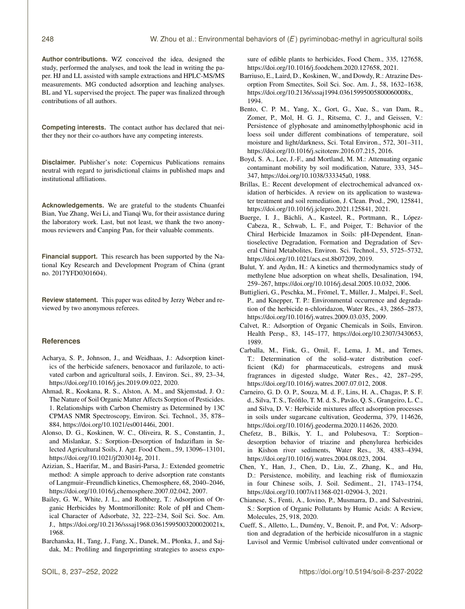**Author contributions.** WZ conceived the idea, designed the study, performed the analyses, and took the lead in writing the paper. HJ and LL assisted with sample extractions and HPLC-MS/MS measurements. MG conducted adsorption and leaching analyses. BL and YL supervised the project. The paper was finalized through contributions of all authors.

**Competing interests.** The contact author has declared that neither they nor their co-authors have any competing interests.

**Disclaimer.** Publisher's note: Copernicus Publications remains neutral with regard to jurisdictional claims in published maps and institutional affiliations.

**Acknowledgements.** We are grateful to the students Chuanfei Bian, Yue Zhang, Wei Li, and Tianqi Wu, for their assistance during the laboratory work. Last, but not least, we thank the two anonymous reviewers and Canping Pan, for their valuable comments.

**Financial support.** This research has been supported by the National Key Research and Development Program of China (grant no. 2017YFD0301604).

**Review statement.** This paper was edited by Jerzy Weber and reviewed by two anonymous referees.

# **References**

- Acharya, S. P., Johnson, J., and Weidhaas, J.: Adsorption kinetics of the herbicide safeners, benoxacor and furilazole, to activated carbon and agricultural soils, J. Environ. Sci., 89, 23–34, https://doi.org[/10.1016/j.jes.2019.09.022,](https://doi.org/10.1016/j.jes.2019.09.022) 2020.
- Ahmad, R., Kookana, R. S., Alston, A. M., and Skjemstad, J. O.: The Nature of Soil Organic Matter Affects Sorption of Pesticides. 1. Relationships with Carbon Chemistry as Determined by 13C CPMAS NMR Spectroscopy, Environ. Sci. Technol., 35, 878– 884, https://doi.org[/10.1021/es001446i,](https://doi.org/10.1021/es001446i) 2001.
- Alonso, D. G., Koskinen, W. C., Oliveira, R. S., Constantin, J., and Mislankar, S.: Sorption–Desorption of Indaziflam in Selected Agricultural Soils, J. Agr. Food Chem., 59, 13096–13101, https://doi.org[/10.1021/jf203014g,](https://doi.org/10.1021/jf203014g) 2011.
- Azizian, S., Haerifar, M., and Basiri-Parsa, J.: Extended geometric method: A simple approach to derive adsorption rate constants of Langmuir–Freundlich kinetics, Chemosphere, 68, 2040–2046, https://doi.org[/10.1016/j.chemosphere.2007.02.042,](https://doi.org/10.1016/j.chemosphere.2007.02.042) 2007.
- Bailey, G. W., White, J. L., and Rothberg, T.: Adsorption of Organic Herbicides by Montmorillonite: Role of pH and Chemical Character of Adsorbate, 32, 222–234, Soil Sci. Soc. Am. J., https://doi.org[/10.2136/sssaj1968.03615995003200020021x,](https://doi.org/10.2136/sssaj1968.03615995003200020021x) 1968.
- Barchanska, H., Tang, J., Fang, X., Danek, M., Płonka, J., and Sajdak, M.: Profiling and fingerprinting strategies to assess expo-

sure of edible plants to herbicides, Food Chem., 335, 127658, https://doi.org[/10.1016/j.foodchem.2020.127658,](https://doi.org/10.1016/j.foodchem.2020.127658) 2021.

- Barriuso, E., Laird, D., Koskinen, W., and Dowdy, R.: Atrazine Desorption From Smectites, Soil Sci. Soc. Am. J., 58, 1632–1638, https://doi.org[/10.2136/sssaj1994.03615995005800060008x,](https://doi.org/10.2136/sssaj1994.03615995005800060008x) 1994.
- Bento, C. P. M., Yang, X., Gort, G., Xue, S., van Dam, R., Zomer, P., Mol, H. G. J., Ritsema, C. J., and Geissen, V.: Persistence of glyphosate and aminomethylphosphonic acid in loess soil under different combinations of temperature, soil moisture and light/darkness, Sci. Total Environ., 572, 301–311, https://doi.org[/10.1016/j.scitotenv.2016.07.215,](https://doi.org/10.1016/j.scitotenv.2016.07.215) 2016.
- Boyd, S. A., Lee, J.-F., and Mortland, M. M.: Attenuating organic contaminant mobility by soil modification, Nature, 333, 345– 347, https://doi.org[/10.1038/333345a0,](https://doi.org/10.1038/333345a0) 1988.
- Brillas, E.: Recent development of electrochemical advanced oxidation of herbicides. A review on its application to wastewater treatment and soil remediation, J. Clean. Prod., 290, 125841, https://doi.org[/10.1016/j.jclepro.2021.125841,](https://doi.org/10.1016/j.jclepro.2021.125841) 2021.
- Buerge, I. J., Bächli, A., Kasteel, R., Portmann, R., López-Cabeza, R., Schwab, L. F., and Poiger, T.: Behavior of the Chiral Herbicide Imazamox in Soils: pH-Dependent, Enantioselective Degradation, Formation and Degradation of Several Chiral Metabolites, Environ. Sci. Technol., 53, 5725–5732, https://doi.org[/10.1021/acs.est.8b07209,](https://doi.org/10.1021/acs.est.8b07209) 2019.
- Bulut, Y. and Aydın, H.: A kinetics and thermodynamics study of methylene blue adsorption on wheat shells, Desalination, 194, 259–267, https://doi.org[/10.1016/j.desal.2005.10.032,](https://doi.org/10.1016/j.desal.2005.10.032) 2006.
- Buttiglieri, G., Peschka, M., Frömel, T., Müller, J., Malpei, F., Seel, P., and Knepper, T. P.: Environmental occurrence and degradation of the herbicide n-chloridazon, Water Res., 43, 2865–2873, https://doi.org[/10.1016/j.watres.2009.03.035,](https://doi.org/10.1016/j.watres.2009.03.035) 2009.
- Calvet, R.: Adsorption of Organic Chemicals in Soils, Environ. Health Persp., 83, 145–177, https://doi.org[/10.2307/3430653,](https://doi.org/10.2307/3430653) 1989.
- Carballa, M., Fink, G., Omil, F., Lema, J. M., and Ternes, T.: Determination of the solid–water distribution coefficient (Kd) for pharmaceuticals, estrogens and musk fragrances in digested sludge, Water Res., 42, 287–295, https://doi.org[/10.1016/j.watres.2007.07.012,](https://doi.org/10.1016/j.watres.2007.07.012) 2008.
- Carneiro, G. D. O. P., Souza, M. d. F., Lins, H. A., Chagas, P. S. F. d., Silva, T. S., Teófilo, T. M. d. S., Pavão, Q. S., Grangeiro, L. C., and Silva, D. V.: Herbicide mixtures affect adsorption processes in soils under sugarcane cultivation, Geoderma, 379, 114626, https://doi.org[/10.1016/j.geoderma.2020.114626,](https://doi.org/10.1016/j.geoderma.2020.114626) 2020.
- Chefetz, B., Bilkis, Y. I., and Polubesova, T.: Sorption– desorption behavior of triazine and phenylurea herbicides in Kishon river sediments, Water Res., 38, 4383–4394, https://doi.org[/10.1016/j.watres.2004.08.023,](https://doi.org/10.1016/j.watres.2004.08.023) 2004.
- Chen, Y., Han, J., Chen, D., Liu, Z., Zhang, K., and Hu, D.: Persistence, mobility, and leaching risk of flumioxazin in four Chinese soils, J. Soil. Sediment., 21, 1743–1754, https://doi.org[/10.1007/s11368-021-02904-3,](https://doi.org/10.1007/s11368-021-02904-3) 2021.
- Chianese, S., Fenti, A., Iovino, P., Musmarra, D., and Salvestrini, S.: Sorption of Organic Pollutants by Humic Acids: A Review, Molecules, 25, 918, 2020.
- Cueff, S., Alletto, L., Dumény, V., Benoit, P., and Pot, V.: Adsorption and degradation of the herbicide nicosulfuron in a stagnic Luvisol and Vermic Umbrisol cultivated under conventional or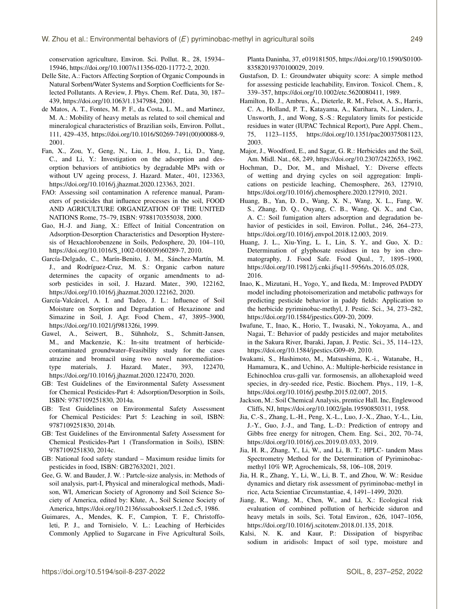conservation agriculture, Environ. Sci. Pollut. R., 28, 15934– 15946, https://doi.org[/10.1007/s11356-020-11772-2,](https://doi.org/10.1007/s11356-020-11772-2) 2020.

- Delle Site, A.: Factors Affecting Sorption of Organic Compounds in Natural Sorbent/Water Systems and Sorption Coefficients for Selected Pollutants. A Review, J. Phys. Chem. Ref. Data, 30, 187– 439, https://doi.org[/10.1063/1.1347984,](https://doi.org/10.1063/1.1347984) 2001.
- de Matos, A. T., Fontes, M. P. F., da Costa, L. M., and Martinez, M. A.: Mobility of heavy metals as related to soil chemical and mineralogical characteristics of Brazilian soils, Environ. Pollut., 111, 429–435, https://doi.org[/10.1016/S0269-7491\(00\)00088-9,](https://doi.org/10.1016/S0269-7491(00)00088-9) 2001.
- Fan, X., Zou, Y., Geng, N., Liu, J., Hou, J., Li, D., Yang, C., and Li, Y.: Investigation on the adsorption and desorption behaviors of antibiotics by degradable MPs with or without UV ageing process, J. Hazard. Mater., 401, 123363, https://doi.org[/10.1016/j.jhazmat.2020.123363,](https://doi.org/10.1016/j.jhazmat.2020.123363) 2021.
- FAO: Assessing soil contamination A reference manual, Parameters of pesticides that influence processes in the soil, FOOD AND AGRICULTURE ORGANIZATION OF THE UNITED NATIONS Rome, 75–79, ISBN: 9788170355038, 2000.
- Gao, H.-J. and Jiang, X.: Effect of Initial Concentration on Adsorption-Desorption Characteristics and Desorption Hysteresis of Hexachlorobenzene in Soils, Pedosphere, 20, 104–110, https://doi.org[/10.1016/S\\_1002-0160\(09\)60289-7,](https://doi.org/10.1016/S_1002-0160(09)60289-7) 2010.
- García-Delgado, C., Marín-Benito, J. M., Sánchez-Martín, M. J., and Rodríguez-Cruz, M. S.: Organic carbon nature determines the capacity of organic amendments to adsorb pesticides in soil, J. Hazard. Mater., 390, 122162, https://doi.org[/10.1016/j.jhazmat.2020.122162,](https://doi.org/10.1016/j.jhazmat.2020.122162) 2020.
- García-Valcárcel, A. I. and Tadeo, J. L.: Influence of Soil Moisture on Sorption and Degradation of Hexazinone and Simazine in Soil, J. Agr. Food Chem., 47, 3895–3900, https://doi.org[/10.1021/jf981326i,](https://doi.org/10.1021/jf981326i) 1999.
- Gawel, A., Seiwert, B., Sühnholz, S., Schmitt-Jansen, M., and Mackenzie, K.: In-situ treatment of herbicidecontaminated groundwater–Feasibility study for the cases atrazine and bromacil using two novel nanoremediationtype materials, J. Hazard. Mater., 393, 122470, https://doi.org[/10.1016/j.jhazmat.2020.122470,](https://doi.org/10.1016/j.jhazmat.2020.122470) 2020.
- GB: Test Guidelines of the Environmental Safety Assessment for Chemical Pesticides-Part 4: Adsorption/Desorption in Soils, ISBN: 9787109251830, 2014a.
- GB: Test Guidelines on Environmental Safety Assessment for Chemical Pesticides: Part 5: Leaching in soil, ISBN: 9787109251830, 2014b.
- GB: Test Guidelines of the Environmental Safety Assessment for Chemical Pesticides-Part 1 (Transformation in Soils), ISBN: 9787109251830, 2014c.
- GB: National food safety standard Maximum residue limits for pesticides in food, ISBN: GB27632021, 2021.
- Gee, G. W. and Bauder, J. W. : Partcle-size analysis, in: Methods of soil analysis, part-I, Physical and mineralogical methods, Madison, WI, American Society of Agronomy and Soil Science Society of America, edited by: Klute, A., Soil Science Society of America, https://doi.org[/10.2136/sssabookser5.1.2ed.c5,](https://doi.org/10.2136/sssabookser5.1.2ed.c5) 1986.
- Guimares, A., Mendes, K. F., Campion, T. F., Christoffoleti, P. J., and Tornisielo, V. L.: Leaching of Herbicides Commonly Applied to Sugarcane in Five Agricultural Soils,

Planta Daninha, 37, e019181505, https://doi.org[/10.1590/S0100-](https://doi.org/10.1590/S0100-83582019370100029) [83582019370100029,](https://doi.org/10.1590/S0100-83582019370100029) 2019.

- Gustafson, D. I.: Groundwater ubiquity score: A simple method for assessing pesticide leachability, Environ. Toxicol. Chem., 8, 339–357, https://doi.org[/10.1002/etc.5620080411,](https://doi.org/10.1002/etc.5620080411) 1989.
- Hamilton, D. J., Ambrus, Á., Dieterle, R. M., Felsot, A. S., Harris, C. A., Holland, P. T., Katayama, A., Kurihara, N., Linders, J., Unsworth, J., and Wong, S.-S.: Regulatory limits for pesticide residues in water (IUPAC Technical Report), Pure Appl. Chem., 75, 1123–1155, https://doi.org[/10.1351/pac200375081123,](https://doi.org/10.1351/pac200375081123) 2003.
- Major, J., Woodford, E., and Sagar, G. R.: Herbicides and the Soil, Am. Midl. Nat., 68, 249, https://doi.org[/10.2307/2422653,](https://doi.org/10.2307/2422653) 1962.
- Hochman, D., Dor, M., and Mishael, Y.: Diverse effects of wetting and drying cycles on soil aggregation: Implications on pesticide leaching, Chemosphere, 263, 127910, https://doi.org[/10.1016/j.chemosphere.2020.127910,](https://doi.org/10.1016/j.chemosphere.2020.127910) 2021.
- Huang, B., Yan, D. D., Wang, X. N., Wang, X. L., Fang, W. S., Zhang, D. Q., Ouyang, C. B., Wang, Qi. X., and Cao, A. C.: Soil fumigation alters adsorption and degradation behavior of pesticides in soil, Environ. Pollut., 246, 264–273, https://doi.org[/10.1016/j.envpol.2018.12.003,](https://doi.org/10.1016/j.envpol.2018.12.003) 2019.
- Huang, J. L., Xiu-Ying, L. I., Lin, S. Y., and Guo, X. D.: Determination of glyphosate residues in tea by ion chromatography, J. Food Safe. Food Qual., 7, 1895–1900, https://doi.org[/10.19812/j.cnki.jfsq11-5956/ts.2016.05.028,](https://doi.org/10.19812/j.cnki.jfsq11-5956/ts.2016.05.028) 2016.
- Inao, K., Mizutani, H., Yogo, Y., and Ikeda, M.: Improved PADDY model including photoisomerization and metabolic pathways for predicting pesticide behavior in paddy fields: Application to the herbicide pyriminobac-methyl, J. Pestic. Sci., 34, 273–282, https://doi.org[/10.1584/jpestics.G09-20,](https://doi.org/10.1584/jpestics.G09-20) 2009.
- Iwafune, T., Inao, K., Horio, T., Iwasaki, N., Yokoyama, A., and Nagai, T.: Behavior of paddy pesticides and major metabolites in the Sakura River, Ibaraki, Japan, J. Pestic. Sci., 35, 114–123, https://doi.org[/10.1584/jpestics.G09-49,](https://doi.org/10.1584/jpestics.G09-49) 2010.
- Iwakami, S., Hashimoto, M., Matsushima, K.-i., Watanabe, H., Hamamura, K., and Uchino, A.: Multiple-herbicide resistance in Echinochloa crus-galli var. formosensis, an allohexaploid weed species, in dry-seeded rice, Pestic. Biochem. Phys., 119, 1–8, https://doi.org[/10.1016/j.pestbp.2015.02.007,](https://doi.org/10.1016/j.pestbp.2015.02.007) 2015.
- Jackson, M.: Soil Chemical Analysis, prentice Hall. Inc, Englewood Cliffs, NJ, https://doi.org[/10.1002/jpln.19590850311,](https://doi.org/10.1002/jpln.19590850311) 1958.
- Jia, C.-S., Zhang, L.-H., Peng, X.-L., Luo, J.-X., Zhao, Y.-L., Liu, J.-Y., Guo, J.-J., and Tang, L.-D.: Prediction of entropy and Gibbs free energy for nitrogen, Chem. Eng. Sci., 202, 70–74, https://doi.org[/10.1016/j.ces.2019.03.033,](https://doi.org/10.1016/j.ces.2019.03.033) 2019.
- Jia, H. R., Zhang, Y., Li, W., and Li, B. T.: HPLC- tandem Mass Spectrometry Method for the Determination of Pyriminobacmethyl 10% WP, Agrochemicals, 58, 106–108, 2019.
- Jia, H. R., Zhang, Y., Li, W., Li, B. T., and Zhou, W. W.: Residue dynamics and dietary risk assessment of pyriminobac-methyl in rice, Acta Scientiae Circumstantiae, 4, 1491–1499, 2020.
- Jiang, R., Wang, M., Chen, W., and Li, X.: Ecological risk evaluation of combined pollution of herbicide siduron and heavy metals in soils, Sci. Total Environ., 626, 1047–1056, https://doi.org[/10.1016/j.scitotenv.2018.01.135,](https://doi.org/10.1016/j.scitotenv.2018.01.135) 2018.
- Kalsi, N. K. and Kaur, P.: Dissipation of bispyribac sodium in aridisols: Impact of soil type, moisture and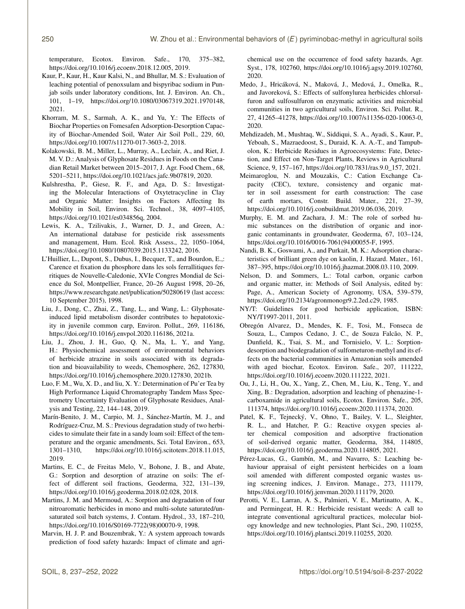temperature, Ecotox. Environ. Safe., 170, 375–382, https://doi.org[/10.1016/j.ecoenv.2018.12.005,](https://doi.org/10.1016/j.ecoenv.2018.12.005) 2019.

- Kaur, P., Kaur, H., Kaur Kalsi, N., and Bhullar, M. S.: Evaluation of leaching potential of penoxsulam and bispyribac sodium in Punjab soils under laboratory conditions, Int. J. Environ. An. Ch., 101, 1–19, https://doi.org[/10.1080/03067319.2021.1970148,](https://doi.org/10.1080/03067319.2021.1970148) 2021.
- Khorram, M. S., Sarmah, A. K., and Yu, Y.: The Effects of Biochar Properties on Fomesafen Adsorption-Desorption Capacity of Biochar-Amended Soil, Water Air Soil Poll., 229, 60, https://doi.org[/10.1007/s11270-017-3603-2,](https://doi.org/10.1007/s11270-017-3603-2) 2018.
- Kolakowski, B. M., Miller, L., Murray, A., Leclair, A., and Riet, J. M. V. D.: Analysis of Glyphosate Residues in Foods on the Canadian Retail Market between 2015–2017, J. Agr. Food Chem., 68, 5201–5211, https://doi.org[/10.1021/acs.jafc.9b07819,](https://doi.org/10.1021/acs.jafc.9b07819) 2020.
- Kulshrestha, P., Giese, R. F., and Aga, D. S.: Investigating the Molecular Interactions of Oxytetracycline in Clay and Organic Matter: Insights on Factors Affecting Its Mobility in Soil, Environ. Sci. Technol., 38, 4097–4105, https://doi.org[/10.1021/es034856q,](https://doi.org/10.1021/es034856q) 2004.
- Lewis, K. A., Tzilivakis, J., Warner, D. J., and Green, A.: An international database for pesticide risk assessments and management, Hum. Ecol. Risk Assess., 22, 1050–1064, https://doi.org[/10.1080/10807039.2015.1133242,](https://doi.org/10.1080/10807039.2015.1133242) 2016.
- L'Huillier, L., Dupont, S., Dubus, I., Becquer, T., and Bourdon, E.,: Carence et fixation du phosphore dans les sols ferrallitiques ferritiques de Nouvelle-Caledonie, XVIe Congres Mondial de Science du Sol, Montpellier, France, 20–26 August 1998, 20–26, <https://www.researchgate.net/publication/50280619> (last access: 10 September 2015), 1998.
- Liu, J., Dong, C., Zhai, Z., Tang, L., and Wang, L.: Glyphosateinduced lipid metabolism disorder contributes to hepatotoxicity in juvenile common carp, Environ. Pollut., 269, 116186, https://doi.org[/10.1016/j.envpol.2020.116186,](https://doi.org/10.1016/j.envpol.2020.116186) 2021a.
- Liu, J., Zhou, J. H., Guo, Q. N., Ma, L. Y., and Yang, H.: Physiochemical assessment of environmental behaviors of herbicide atrazine in soils associated with its degradation and bioavailability to weeds, Chemosphere, 262, 127830, https://doi.org[/10.1016/j.chemosphere.2020.127830,](https://doi.org/10.1016/j.chemosphere.2020.127830) 2021b.
- Luo, F. M., Wu, X. D., and liu, X. Y.: Determination of Pu'er Tea by High Performance Liquid Chromatography Tandem Mass Spectrometry Uncertainty Evaluation of Glyphosate Residues, Analysis and Testing, 22, 144–148, 2019.
- Marín-Benito, J. M., Carpio, M. J., Sánchez-Martín, M. J., and Rodríguez-Cruz, M. S.: Previous degradation study of two herbicides to simulate their fate in a sandy loam soil: Effect of the temperature and the organic amendments, Sci. Total Environ., 653, 1301–1310, https://doi.org[/10.1016/j.scitotenv.2018.11.015,](https://doi.org/10.1016/j.scitotenv.2018.11.015) 2019.
- Martins, E. C., de Freitas Melo, V., Bohone, J. B., and Abate, G.: Sorption and desorption of atrazine on soils: The effect of different soil fractions, Geoderma, 322, 131–139, https://doi.org[/10.1016/j.geoderma.2018.02.028,](https://doi.org/10.1016/j.geoderma.2018.02.028) 2018.
- Martins, J. M. and Mermoud, A.: Sorption and degradation of four nitroaromatic herbicides in mono and multi-solute saturated/unsaturated soil batch systems, J. Contam. Hydrol., 33, 187–210, https://doi.org[/10.1016/S0169-7722\(98\)00070-9,](https://doi.org/10.1016/S0169-7722(98)00070-9) 1998.
- Marvin, H. J. P. and Bouzembrak, Y.: A system approach towards prediction of food safety hazards: Impact of climate and agri-

chemical use on the occurrence of food safety hazards, Agr. Syst., 178, 102760, https://doi.org[/10.1016/j.agsy.2019.102760,](https://doi.org/10.1016/j.agsy.2019.102760) 2020.

- Medo, J., Hricáková, N., Maková, J., Medová, J., Omelka, R., and Javoreková, S.: Effects of sulfonylurea herbicides chlorsulfuron and sulfosulfuron on enzymatic activities and microbial communities in two agricultural soils, Environ. Sci. Pollut. R., 27, 41265–41278, https://doi.org[/10.1007/s11356-020-10063-0,](https://doi.org/10.1007/s11356-020-10063-0) 2020.
- Mehdizadeh, M., Mushtaq, W., Siddiqui, S. A., Ayadi, S., Kaur, P., Yeboah, S., Mazraedoost, S., Duraid, K. A. A.-T., and Tampubolon, K.: Herbicide Residues in Agroecosystems: Fate, Detection, and Effect on Non-Target Plants, Reviews in Agricultural Science, 9, 157–167, https://doi.org[/10.7831/ras.9.0\\_157,](https://doi.org/10.7831/ras.9.0_157) 2021.
- Meimaroglou, N. and Mouzakis, C.: Cation Exchange Capacity (CEC), texture, consistency and organic matter in soil assessment for earth construction: The case of earth mortars, Constr. Build. Mater., 221, 27–39, https://doi.org[/10.1016/j.conbuildmat.2019.06.036,](https://doi.org/10.1016/j.conbuildmat.2019.06.036) 2019.
- Murphy, E. M. and Zachara, J. M.: The role of sorbed humic substances on the distribution of organic and inorganic contaminants in groundwater, Geoderma, 67, 103–124, https://doi.org[/10.1016/0016-7061\(94\)00055-F,](https://doi.org/10.1016/0016-7061(94)00055-F) 1995.
- Nandi, B. K., Goswami, A., and Purkait, M. K.: Adsorption characteristics of brilliant green dye on kaolin, J. Hazard. Mater., 161, 387–395, https://doi.org[/10.1016/j.jhazmat.2008.03.110,](https://doi.org/10.1016/j.jhazmat.2008.03.110) 2009.
- Nelson, D. and Sommers, L.: Total carbon, organic carbon and organic matter, in: Methods of Soil Analysis, edited by: Page, A., American Society of Agronomy, USA, 539–579, https://doi.org[/10.2134/agronmonogr9.2.2ed.c29,](https://doi.org/10.2134/agronmonogr9.2.2ed.c29) 1985.
- NY/T: Guidelines for good herbicide application, ISBN: NY/T1997-2011, 2011.
- Obregón Alvarez, D., Mendes, K. F., Tosi, M., Fonseca de Souza, L., Campos Cedano, J. C., de Souza Falcão, N. P., Dunfield, K., Tsai, S. M., and Tornisielo, V. L.: Sorptiondesorption and biodegradation of sulfometuron-methyl and its effects on the bacterial communities in Amazonian soils amended with aged biochar, Ecotox. Environ. Safe., 207, 111222, https://doi.org[/10.1016/j.ecoenv.2020.111222,](https://doi.org/10.1016/j.ecoenv.2020.111222) 2021.
- Ou, J., Li, H., Ou, X., Yang, Z., Chen, M., Liu, K., Teng, Y., and Xing, B.: Degradation, adsorption and leaching of phenazine-1 carboxamide in agricultural soils, Ecotox. Environ. Safe., 205, 111374, https://doi.org[/10.1016/j.ecoenv.2020.111374,](https://doi.org/10.1016/j.ecoenv.2020.111374) 2020.
- Patel, K. F., Tejnecký, V., Ohno, T., Bailey, V. L., Sleighter, R. L., and Hatcher, P. G.: Reactive oxygen species alter chemical composition and adsorptive fractionation of soil-derived organic matter, Geoderma, 384, 114805, https://doi.org[/10.1016/j.geoderma.2020.114805,](https://doi.org/10.1016/j.geoderma.2020.114805) 2021.
- Pérez-Lucas, G., Gambín, M., and Navarro, S.: Leaching behaviour appraisal of eight persistent herbicides on a loam soil amended with different composted organic wastes using screening indices, J. Environ. Manage., 273, 111179, https://doi.org[/10.1016/j.jenvman.2020.111179,](https://doi.org/10.1016/j.jenvman.2020.111179) 2020.
- Perotti, V. E., Larran, A. S., Palmieri, V. E., Martinatto, A. K., and Permingeat, H. R.: Herbicide resistant weeds: A call to integrate conventional agricultural practices, molecular biology knowledge and new technologies, Plant Sci., 290, 110255, https://doi.org[/10.1016/j.plantsci.2019.110255,](https://doi.org/10.1016/j.plantsci.2019.110255) 2020.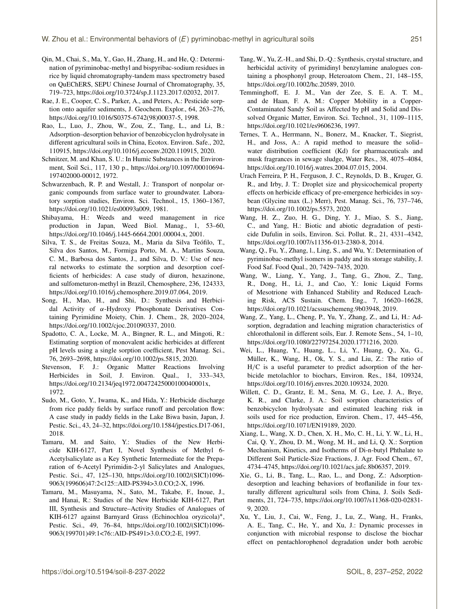- Qin, M., Chai, S., Ma, Y., Gao, H., Zhang, H., and He, Q.: Determination of pyriminobac-methyl and bispyribac-sodium residues in rice by liquid chromatography-tandem mass spectrometry based on QuEChERS, SEPU Chinese Journal of Chromatography, 35, 719–723, https://doi.org[/10.3724/sp.J.1123.2017.02032,](https://doi.org/10.3724/sp.J.1123.2017.02032) 2017.
- Rae, J. E., Cooper, C. S., Parker, A., and Peters, A.: Pesticide sorption onto aquifer sediments, J. Geochem. Explor., 64, 263–276, https://doi.org[/10.1016/S0375-6742\(98\)00037-5,](https://doi.org/10.1016/S0375-6742(98)00037-5) 1998.
- Rao, L., Luo, J., Zhou, W., Zou, Z., Tang, L., and Li, B.: Adsorption–desorption behavior of benzobicyclon hydrolysate in different agricultural soils in China, Ecotox. Environ. Safe., 202, 110915, https://doi.org[/10.1016/j.ecoenv.2020.110915,](https://doi.org/10.1016/j.ecoenv.2020.110915) 2020.
- Schnitzer, M. and Khan, S. U.: In Humic Substances in the Environment, Soil Sci., 117, 130 p., https://doi.org[/10.1097/00010694-](https://doi.org/10.1097/00010694-197402000-00012) [197402000-00012,](https://doi.org/10.1097/00010694-197402000-00012) 1972.
- Schwarzenbach, R. P. and Westall, J.: Transport of nonpolar organic compounds from surface water to groundwater. Laboratory sorption studies, Environ. Sci. Technol., 15, 1360–1367, https://doi.org[/10.1021/es00093a009,](https://doi.org/10.1021/es00093a009) 1981.
- Shibayama, H.: Weeds and weed management in rice production in Japan, Weed Biol. Manag., 1, 53–60, https://doi.org[/10.1046/j.1445-6664.2001.00004.x,](https://doi.org/10.1046/j.1445-6664.2001.00004.x) 2001.
- Silva, T. S., de Freitas Souza, M., Maria da Silva Teófilo, T., Silva dos Santos, M., Formiga Porto, M. A., Martins Souza, C. M., Barbosa dos Santos, J., and Silva, D. V.: Use of neural networks to estimate the sorption and desorption coefficients of herbicides: A case study of diuron, hexazinone, and sulfometuron-methyl in Brazil, Chemosphere, 236, 124333, https://doi.org[/10.1016/j.chemosphere.2019.07.064,](https://doi.org/10.1016/j.chemosphere.2019.07.064) 2019.
- Song, H., Mao, H., and Shi, D.: Synthesis and Herbicidal Activity of α-Hydroxy Phosphonate Derivatives Containing Pyrimidine Moiety, Chin. J. Chem., 28, 2020–2024, https://doi.org[/10.1002/cjoc.201090337,](https://doi.org/10.1002/cjoc.201090337) 2010.
- Spadotto, C. A., Locke, M. A., Bingner, R. L., and Mingoti, R.: Estimating sorption of monovalent acidic herbicides at different pH levels using a single sorption coefficient, Pest Manag. Sci., 76, 2693–2698, https://doi.org[/10.1002/ps.5815,](https://doi.org/10.1002/ps.5815) 2020.
- Stevenson, F. J.: Organic Matter Reactions Involving Herbicides in Soil, J. Environ. Qual., 1, 333–343, https://doi.org[/10.2134/jeq1972.00472425000100040001x,](https://doi.org/10.2134/jeq1972.00472425000100040001x) 1972.
- Sudo, M., Goto, Y., Iwama, K., and Hida, Y.: Herbicide discharge from rice paddy fields by surface runoff and percolation flow: A case study in paddy fields in the Lake Biwa basin, Japan, J. Pestic. Sci., 43, 24–32, https://doi.org[/10.1584/jpestics.D17-061,](https://doi.org/10.1584/jpestics.D17-061) 2018.
- Tamaru, M. and Saito, Y.: Studies of the New Herbicide KIH-6127, Part I, Novel Synthesis of Methyl 6- Acetylsalicylate as a Key Synthetic Intermediate for the Preparation of 6-Acetyl Pyrimidin-2-yl Salicylates and Analogues, Pestic. Sci., 47, 125–130, https://doi.org[/10.1002/\(SICI\)1096-](https://doi.org/10.1002/(SICI)1096-9063(199606)47:2<125::AID-PS394>3.0.CO;2-X) [9063\(199606\)47:2<125::AID-PS394>3.0.CO;2-X,](https://doi.org/10.1002/(SICI)1096-9063(199606)47:2<125::AID-PS394>3.0.CO;2-X) 1996.
- Tamaru, M., Masuyama, N., Sato, M., Takabe, F., Inoue, J., and Hanai, R.: Studies of the New Herbicide KIH-6127, Part III, Synthesis and Structure–Activity Studies of Analogues of KIH-6127 against Barnyard Grass (Echinochloa oryzicola)<sup>∗</sup> , Pestic. Sci., 49, 76–84, https://doi.org[/10.1002/\(SICI\)1096-](https://doi.org/10.1002/(SICI)1096-9063(199701)49:1<76::AID-PS491>3.0.CO;2-E) [9063\(199701\)49:1<76::AID-PS491>3.0.CO;2-E,](https://doi.org/10.1002/(SICI)1096-9063(199701)49:1<76::AID-PS491>3.0.CO;2-E) 1997.
- Tang, W., Yu, Z.-H., and Shi, D.-Q.: Synthesis, crystal structure, and herbicidal activity of pyrimidinyl benzylamine analogues containing a phosphonyl group, Heteroatom Chem., 21, 148–155, https://doi.org[/10.1002/hc.20589,](https://doi.org/10.1002/hc.20589) 2010.
- Temminghoff, E. J. M., Van der Zee, S. E. A. T. M., and de Haan, F. A. M.: Copper Mobility in a Copper-Contaminated Sandy Soil as Affected by pH and Solid and Dissolved Organic Matter, Environ. Sci. Technol., 31, 1109–1115, https://doi.org[/10.1021/es9606236,](https://doi.org/10.1021/es9606236) 1997.
- Ternes, T. A., Herrmann, N., Bonerz, M., Knacker, T., Siegrist, H., and Joss, A.: A rapid method to measure the solid– water distribution coefficient (Kd) for pharmaceuticals and musk fragrances in sewage sludge, Water Res., 38, 4075–4084, https://doi.org[/10.1016/j.watres.2004.07.015,](https://doi.org/10.1016/j.watres.2004.07.015) 2004.
- Urach Ferreira, P. H., Ferguson, J. C., Reynolds, D. B., Kruger, G. R., and Irby, J. T.: Droplet size and physicochemical property effects on herbicide efficacy of pre-emergence herbicides in soybean (Glycine max (L.) Merr), Pest. Manag. Sci., 76, 737–746, https://doi.org[/10.1002/ps.5573,](https://doi.org/10.1002/ps.5573) 2020.
- Wang, H. Z., Zuo, H. G., Ding, Y. J., Miao, S. S., Jiang, C., and Yang, H.: Biotic and abiotic degradation of pesticide Dufulin in soils, Environ. Sci. Pollut. R., 21, 4331–4342, https://doi.org[/10.1007/s11356-013-2380-8,](https://doi.org/10.1007/s11356-013-2380-8) 2014.
- Wang, Q., Fu, Y., Zhang, l., Ling, S., and Wu, Y.: Determination of pyriminobac-methyl isomers in paddy and its storage stability, J. Food Saf. Food Qual., 20, 7429–7435, 2020.
- Wang, W., Liang, Y., Yang, J., Tang, G., Zhou, Z., Tang, R., Dong, H., Li, J., and Cao, Y.: Ionic Liquid Forms of Mesotrione with Enhanced Stability and Reduced Leaching Risk, ACS Sustain. Chem. Eng., 7, 16620–16628, https://doi.org[/10.1021/acssuschemeng.9b03948,](https://doi.org/10.1021/acssuschemeng.9b03948) 2019.
- Wang, Z., Yang, L., Cheng, P., Yu, Y., Zhang, Z., and Li, H.: Adsorption, degradation and leaching migration characteristics of chlorothalonil in different soils, Eur. J. Remote Sens., 54, 1–10, https://doi.org[/10.1080/22797254.2020.1771216,](https://doi.org/10.1080/22797254.2020.1771216) 2020.
- Wei, L., Huang, Y., Huang, L., Li, Y., Huang, Q., Xu, G., Müller, K., Wang, H., Ok, Y. S., and Liu, Z.: The ratio of H/C is a useful parameter to predict adsorption of the herbicide metolachlor to biochars, Environ. Res., 184, 109324, https://doi.org[/10.1016/j.envres.2020.109324,](https://doi.org/10.1016/j.envres.2020.109324) 2020.
- Willett, C. D., Grantz, E. M., Sena, M. G., Lee, J. A., Brye, K. R., and Clarke, J. A.: Soil sorption characteristics of benzobicyclon hydrolysate and estimated leaching risk in soils used for rice production, Environ. Chem., 17, 445–456, https://doi.org[/10.1071/EN19189,](https://doi.org/10.1071/EN19189) 2020.
- Xiang, L., Wang, X. D., Chen, X. H., Mo, C. H., Li, Y. W., Li, H., Cai, Q. Y., Zhou, D. M., Wong, M. H., and Li, Q. X.: Sorption Mechanism, Kinetics, and Isotherms of Di-n-butyl Phthalate to Different Soil Particle-Size Fractions, J. Agr. Food Chem., 67, 4734–4745, https://doi.org[/10.1021/acs.jafc.8b06357,](https://doi.org/10.1021/acs.jafc.8b06357) 2019.
- Xie, G., Li, B., Tang, L., Rao, L., and Dong, Z.: Adsorptiondesorption and leaching behaviors of broflanilide in four texturally different agricultural soils from China, J. Soils Sediments, 21, 724–735, https://doi.org[/10.1007/s11368-020-02831-](https://doi.org/10.1007/s11368-020-02831-9) [9,](https://doi.org/10.1007/s11368-020-02831-9) 2020.
- Xu, Y., Liu, J., Cai, W., Feng, J., Lu, Z., Wang, H., Franks, A. E., Tang, C., He, Y., and Xu, J.: Dynamic processes in conjunction with microbial response to disclose the biochar effect on pentachlorophenol degradation under both aerobic